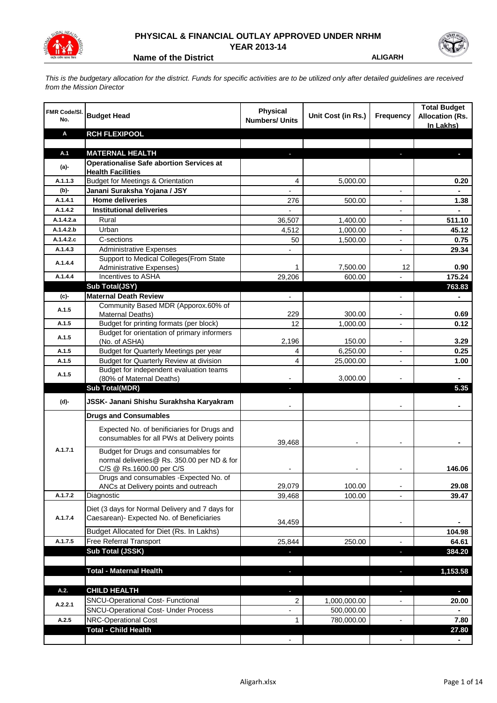

## **PHYSICAL & FINANCIAL OUTLAY APPROVED UNDER NRHM YEAR 2013-14**

**Name of the District ALIGARH**

*This is the budgetary allocation for the district. Funds for specific activities are to be utilized only after detailed guidelines are received from the Mission Director*

| <b>RCH FLEXIPOOL</b><br>Α<br><b>MATERNAL HEALTH</b><br>A.1<br><b>Operationalise Safe abortion Services at</b><br>(a)-<br><b>Health Facilities</b><br><b>Budget for Meetings &amp; Orientation</b><br>A.1.1.3<br>4<br>5,000.00<br>0.20<br>Janani Suraksha Yojana / JSY<br>(b)-<br>L,<br>$\overline{\phantom{a}}$<br><b>Home deliveries</b><br>276<br>A.1.4.1<br>1.38<br>500.00<br>A.1.4.2<br><b>Institutional deliveries</b><br>A.1.4.2.a<br>Rural<br>36,507<br>1,400.00<br>511.10<br>Urban<br>A.1.4.2.b<br>4,512<br>1,000.00<br>45.12<br>$\blacksquare$<br>A.1.4.2.c<br>C-sections<br>0.75<br>50<br>1,500.00<br>$\overline{\phantom{a}}$<br><b>Administrative Expenses</b><br>29.34<br>A.1.4.3<br>$\overline{a}$<br>Support to Medical Colleges(From State<br>A.1.4.4<br>Administrative Expenses)<br>0.90<br>7,500.00<br>12<br>1<br>Incentives to ASHA<br>29,206<br>175.24<br>600.00<br>A.1.4.4<br>Sub Total(JSY)<br>763.83<br><b>Maternal Death Review</b><br>$(c)$ -<br>$\overline{\phantom{a}}$<br>$\overline{\phantom{a}}$<br>٠<br>Community Based MDR (Apporox.60% of<br>A.1.5<br>229<br>300.00<br>Maternal Deaths)<br>0.69<br>Budget for printing formats (per block)<br>12<br>A.1.5<br>1,000.00<br>0.12<br>Budget for orientation of primary informers<br>A.1.5<br>2,196<br>150.00<br>3.29<br>(No. of ASHA)<br><b>Budget for Quarterly Meetings per year</b><br>6,250.00<br>A.1.5<br>0.25<br>4<br>Budget for Quarterly Review at division<br>A.1.5<br>4<br>25,000.00<br>1.00<br>Budget for independent evaluation teams<br>A.1.5<br>3,000.00<br>(80% of Maternal Deaths)<br><b>Sub Total(MDR)</b><br>5.35<br>н<br>JSSK- Janani Shishu Surakhsha Karyakram<br>(d)-<br><b>Drugs and Consumables</b><br>Expected No. of benificiaries for Drugs and<br>consumables for all PWs at Delivery points<br>39,468<br>A.1.7.1<br>Budget for Drugs and consumables for<br>normal deliveries@ Rs. 350.00 per ND & for<br>146.06<br>C/S @ Rs.1600.00 per C/S<br>Drugs and consumables - Expected No. of<br>29,079<br>100.00<br>29.08<br>ANCs at Delivery points and outreach<br>100.00<br>A.1.7.2<br>Diagnostic<br>39,468<br>39.47<br>Diet (3 days for Normal Delivery and 7 days for<br>Caesarean)- Expected No. of Beneficiaries<br>A.1.7.4<br>34,459<br>$\overline{\phantom{a}}$<br>Budget Allocated for Diet (Rs. In Lakhs)<br>104.98<br>A.1.7.5<br>Free Referral Transport<br>25,844<br>250.00<br>64.61<br>$\overline{a}$<br>Sub Total (JSSK)<br>384.20<br>$\overline{\phantom{a}}$<br><b>Total - Maternal Health</b><br>1,153.58<br>J,<br>$\overline{\phantom{a}}$<br><b>CHILD HEALTH</b><br>A.2.<br>н<br>SNCU-Operational Cost- Functional<br>1,000,000.00<br>$\overline{c}$<br>20.00<br>A.2.2.1<br><b>SNCU-Operational Cost- Under Process</b><br>500,000.00<br><b>NRC-Operational Cost</b><br>A.2.5<br>780,000.00<br>$\mathbf{1}$<br>7.80<br><b>Total - Child Health</b><br>27.80 | <b>FMR Code/SI.</b><br>No. | <b>Budget Head</b> | <b>Physical</b><br><b>Numbers/ Units</b> | Unit Cost (in Rs.) | <b>Frequency</b> | <b>Total Budget</b><br><b>Allocation (Rs.</b><br>In Lakhs) |
|--------------------------------------------------------------------------------------------------------------------------------------------------------------------------------------------------------------------------------------------------------------------------------------------------------------------------------------------------------------------------------------------------------------------------------------------------------------------------------------------------------------------------------------------------------------------------------------------------------------------------------------------------------------------------------------------------------------------------------------------------------------------------------------------------------------------------------------------------------------------------------------------------------------------------------------------------------------------------------------------------------------------------------------------------------------------------------------------------------------------------------------------------------------------------------------------------------------------------------------------------------------------------------------------------------------------------------------------------------------------------------------------------------------------------------------------------------------------------------------------------------------------------------------------------------------------------------------------------------------------------------------------------------------------------------------------------------------------------------------------------------------------------------------------------------------------------------------------------------------------------------------------------------------------------------------------------------------------------------------------------------------------------------------------------------------------------------------------------------------------------------------------------------------------------------------------------------------------------------------------------------------------------------------------------------------------------------------------------------------------------------------------------------------------------------------------------------------------------------------------------------------------------------------------------------------------------------------------------------------------------------------------------------------------------------------------------------------------------------------------------------------------------------------------------------------------------------------------------------------------------------------|----------------------------|--------------------|------------------------------------------|--------------------|------------------|------------------------------------------------------------|
|                                                                                                                                                                                                                                                                                                                                                                                                                                                                                                                                                                                                                                                                                                                                                                                                                                                                                                                                                                                                                                                                                                                                                                                                                                                                                                                                                                                                                                                                                                                                                                                                                                                                                                                                                                                                                                                                                                                                                                                                                                                                                                                                                                                                                                                                                                                                                                                                                                                                                                                                                                                                                                                                                                                                                                                                                                                                                      |                            |                    |                                          |                    |                  |                                                            |
|                                                                                                                                                                                                                                                                                                                                                                                                                                                                                                                                                                                                                                                                                                                                                                                                                                                                                                                                                                                                                                                                                                                                                                                                                                                                                                                                                                                                                                                                                                                                                                                                                                                                                                                                                                                                                                                                                                                                                                                                                                                                                                                                                                                                                                                                                                                                                                                                                                                                                                                                                                                                                                                                                                                                                                                                                                                                                      |                            |                    |                                          |                    |                  |                                                            |
|                                                                                                                                                                                                                                                                                                                                                                                                                                                                                                                                                                                                                                                                                                                                                                                                                                                                                                                                                                                                                                                                                                                                                                                                                                                                                                                                                                                                                                                                                                                                                                                                                                                                                                                                                                                                                                                                                                                                                                                                                                                                                                                                                                                                                                                                                                                                                                                                                                                                                                                                                                                                                                                                                                                                                                                                                                                                                      |                            |                    |                                          |                    |                  |                                                            |
|                                                                                                                                                                                                                                                                                                                                                                                                                                                                                                                                                                                                                                                                                                                                                                                                                                                                                                                                                                                                                                                                                                                                                                                                                                                                                                                                                                                                                                                                                                                                                                                                                                                                                                                                                                                                                                                                                                                                                                                                                                                                                                                                                                                                                                                                                                                                                                                                                                                                                                                                                                                                                                                                                                                                                                                                                                                                                      |                            |                    |                                          |                    |                  |                                                            |
|                                                                                                                                                                                                                                                                                                                                                                                                                                                                                                                                                                                                                                                                                                                                                                                                                                                                                                                                                                                                                                                                                                                                                                                                                                                                                                                                                                                                                                                                                                                                                                                                                                                                                                                                                                                                                                                                                                                                                                                                                                                                                                                                                                                                                                                                                                                                                                                                                                                                                                                                                                                                                                                                                                                                                                                                                                                                                      |                            |                    |                                          |                    |                  |                                                            |
|                                                                                                                                                                                                                                                                                                                                                                                                                                                                                                                                                                                                                                                                                                                                                                                                                                                                                                                                                                                                                                                                                                                                                                                                                                                                                                                                                                                                                                                                                                                                                                                                                                                                                                                                                                                                                                                                                                                                                                                                                                                                                                                                                                                                                                                                                                                                                                                                                                                                                                                                                                                                                                                                                                                                                                                                                                                                                      |                            |                    |                                          |                    |                  |                                                            |
|                                                                                                                                                                                                                                                                                                                                                                                                                                                                                                                                                                                                                                                                                                                                                                                                                                                                                                                                                                                                                                                                                                                                                                                                                                                                                                                                                                                                                                                                                                                                                                                                                                                                                                                                                                                                                                                                                                                                                                                                                                                                                                                                                                                                                                                                                                                                                                                                                                                                                                                                                                                                                                                                                                                                                                                                                                                                                      |                            |                    |                                          |                    |                  |                                                            |
|                                                                                                                                                                                                                                                                                                                                                                                                                                                                                                                                                                                                                                                                                                                                                                                                                                                                                                                                                                                                                                                                                                                                                                                                                                                                                                                                                                                                                                                                                                                                                                                                                                                                                                                                                                                                                                                                                                                                                                                                                                                                                                                                                                                                                                                                                                                                                                                                                                                                                                                                                                                                                                                                                                                                                                                                                                                                                      |                            |                    |                                          |                    |                  |                                                            |
|                                                                                                                                                                                                                                                                                                                                                                                                                                                                                                                                                                                                                                                                                                                                                                                                                                                                                                                                                                                                                                                                                                                                                                                                                                                                                                                                                                                                                                                                                                                                                                                                                                                                                                                                                                                                                                                                                                                                                                                                                                                                                                                                                                                                                                                                                                                                                                                                                                                                                                                                                                                                                                                                                                                                                                                                                                                                                      |                            |                    |                                          |                    |                  |                                                            |
|                                                                                                                                                                                                                                                                                                                                                                                                                                                                                                                                                                                                                                                                                                                                                                                                                                                                                                                                                                                                                                                                                                                                                                                                                                                                                                                                                                                                                                                                                                                                                                                                                                                                                                                                                                                                                                                                                                                                                                                                                                                                                                                                                                                                                                                                                                                                                                                                                                                                                                                                                                                                                                                                                                                                                                                                                                                                                      |                            |                    |                                          |                    |                  |                                                            |
|                                                                                                                                                                                                                                                                                                                                                                                                                                                                                                                                                                                                                                                                                                                                                                                                                                                                                                                                                                                                                                                                                                                                                                                                                                                                                                                                                                                                                                                                                                                                                                                                                                                                                                                                                                                                                                                                                                                                                                                                                                                                                                                                                                                                                                                                                                                                                                                                                                                                                                                                                                                                                                                                                                                                                                                                                                                                                      |                            |                    |                                          |                    |                  |                                                            |
|                                                                                                                                                                                                                                                                                                                                                                                                                                                                                                                                                                                                                                                                                                                                                                                                                                                                                                                                                                                                                                                                                                                                                                                                                                                                                                                                                                                                                                                                                                                                                                                                                                                                                                                                                                                                                                                                                                                                                                                                                                                                                                                                                                                                                                                                                                                                                                                                                                                                                                                                                                                                                                                                                                                                                                                                                                                                                      |                            |                    |                                          |                    |                  |                                                            |
|                                                                                                                                                                                                                                                                                                                                                                                                                                                                                                                                                                                                                                                                                                                                                                                                                                                                                                                                                                                                                                                                                                                                                                                                                                                                                                                                                                                                                                                                                                                                                                                                                                                                                                                                                                                                                                                                                                                                                                                                                                                                                                                                                                                                                                                                                                                                                                                                                                                                                                                                                                                                                                                                                                                                                                                                                                                                                      |                            |                    |                                          |                    |                  |                                                            |
|                                                                                                                                                                                                                                                                                                                                                                                                                                                                                                                                                                                                                                                                                                                                                                                                                                                                                                                                                                                                                                                                                                                                                                                                                                                                                                                                                                                                                                                                                                                                                                                                                                                                                                                                                                                                                                                                                                                                                                                                                                                                                                                                                                                                                                                                                                                                                                                                                                                                                                                                                                                                                                                                                                                                                                                                                                                                                      |                            |                    |                                          |                    |                  |                                                            |
|                                                                                                                                                                                                                                                                                                                                                                                                                                                                                                                                                                                                                                                                                                                                                                                                                                                                                                                                                                                                                                                                                                                                                                                                                                                                                                                                                                                                                                                                                                                                                                                                                                                                                                                                                                                                                                                                                                                                                                                                                                                                                                                                                                                                                                                                                                                                                                                                                                                                                                                                                                                                                                                                                                                                                                                                                                                                                      |                            |                    |                                          |                    |                  |                                                            |
|                                                                                                                                                                                                                                                                                                                                                                                                                                                                                                                                                                                                                                                                                                                                                                                                                                                                                                                                                                                                                                                                                                                                                                                                                                                                                                                                                                                                                                                                                                                                                                                                                                                                                                                                                                                                                                                                                                                                                                                                                                                                                                                                                                                                                                                                                                                                                                                                                                                                                                                                                                                                                                                                                                                                                                                                                                                                                      |                            |                    |                                          |                    |                  |                                                            |
|                                                                                                                                                                                                                                                                                                                                                                                                                                                                                                                                                                                                                                                                                                                                                                                                                                                                                                                                                                                                                                                                                                                                                                                                                                                                                                                                                                                                                                                                                                                                                                                                                                                                                                                                                                                                                                                                                                                                                                                                                                                                                                                                                                                                                                                                                                                                                                                                                                                                                                                                                                                                                                                                                                                                                                                                                                                                                      |                            |                    |                                          |                    |                  |                                                            |
|                                                                                                                                                                                                                                                                                                                                                                                                                                                                                                                                                                                                                                                                                                                                                                                                                                                                                                                                                                                                                                                                                                                                                                                                                                                                                                                                                                                                                                                                                                                                                                                                                                                                                                                                                                                                                                                                                                                                                                                                                                                                                                                                                                                                                                                                                                                                                                                                                                                                                                                                                                                                                                                                                                                                                                                                                                                                                      |                            |                    |                                          |                    |                  |                                                            |
|                                                                                                                                                                                                                                                                                                                                                                                                                                                                                                                                                                                                                                                                                                                                                                                                                                                                                                                                                                                                                                                                                                                                                                                                                                                                                                                                                                                                                                                                                                                                                                                                                                                                                                                                                                                                                                                                                                                                                                                                                                                                                                                                                                                                                                                                                                                                                                                                                                                                                                                                                                                                                                                                                                                                                                                                                                                                                      |                            |                    |                                          |                    |                  |                                                            |
|                                                                                                                                                                                                                                                                                                                                                                                                                                                                                                                                                                                                                                                                                                                                                                                                                                                                                                                                                                                                                                                                                                                                                                                                                                                                                                                                                                                                                                                                                                                                                                                                                                                                                                                                                                                                                                                                                                                                                                                                                                                                                                                                                                                                                                                                                                                                                                                                                                                                                                                                                                                                                                                                                                                                                                                                                                                                                      |                            |                    |                                          |                    |                  |                                                            |
|                                                                                                                                                                                                                                                                                                                                                                                                                                                                                                                                                                                                                                                                                                                                                                                                                                                                                                                                                                                                                                                                                                                                                                                                                                                                                                                                                                                                                                                                                                                                                                                                                                                                                                                                                                                                                                                                                                                                                                                                                                                                                                                                                                                                                                                                                                                                                                                                                                                                                                                                                                                                                                                                                                                                                                                                                                                                                      |                            |                    |                                          |                    |                  |                                                            |
|                                                                                                                                                                                                                                                                                                                                                                                                                                                                                                                                                                                                                                                                                                                                                                                                                                                                                                                                                                                                                                                                                                                                                                                                                                                                                                                                                                                                                                                                                                                                                                                                                                                                                                                                                                                                                                                                                                                                                                                                                                                                                                                                                                                                                                                                                                                                                                                                                                                                                                                                                                                                                                                                                                                                                                                                                                                                                      |                            |                    |                                          |                    |                  |                                                            |
|                                                                                                                                                                                                                                                                                                                                                                                                                                                                                                                                                                                                                                                                                                                                                                                                                                                                                                                                                                                                                                                                                                                                                                                                                                                                                                                                                                                                                                                                                                                                                                                                                                                                                                                                                                                                                                                                                                                                                                                                                                                                                                                                                                                                                                                                                                                                                                                                                                                                                                                                                                                                                                                                                                                                                                                                                                                                                      |                            |                    |                                          |                    |                  |                                                            |
|                                                                                                                                                                                                                                                                                                                                                                                                                                                                                                                                                                                                                                                                                                                                                                                                                                                                                                                                                                                                                                                                                                                                                                                                                                                                                                                                                                                                                                                                                                                                                                                                                                                                                                                                                                                                                                                                                                                                                                                                                                                                                                                                                                                                                                                                                                                                                                                                                                                                                                                                                                                                                                                                                                                                                                                                                                                                                      |                            |                    |                                          |                    |                  |                                                            |
|                                                                                                                                                                                                                                                                                                                                                                                                                                                                                                                                                                                                                                                                                                                                                                                                                                                                                                                                                                                                                                                                                                                                                                                                                                                                                                                                                                                                                                                                                                                                                                                                                                                                                                                                                                                                                                                                                                                                                                                                                                                                                                                                                                                                                                                                                                                                                                                                                                                                                                                                                                                                                                                                                                                                                                                                                                                                                      |                            |                    |                                          |                    |                  |                                                            |
|                                                                                                                                                                                                                                                                                                                                                                                                                                                                                                                                                                                                                                                                                                                                                                                                                                                                                                                                                                                                                                                                                                                                                                                                                                                                                                                                                                                                                                                                                                                                                                                                                                                                                                                                                                                                                                                                                                                                                                                                                                                                                                                                                                                                                                                                                                                                                                                                                                                                                                                                                                                                                                                                                                                                                                                                                                                                                      |                            |                    |                                          |                    |                  |                                                            |
|                                                                                                                                                                                                                                                                                                                                                                                                                                                                                                                                                                                                                                                                                                                                                                                                                                                                                                                                                                                                                                                                                                                                                                                                                                                                                                                                                                                                                                                                                                                                                                                                                                                                                                                                                                                                                                                                                                                                                                                                                                                                                                                                                                                                                                                                                                                                                                                                                                                                                                                                                                                                                                                                                                                                                                                                                                                                                      |                            |                    |                                          |                    |                  |                                                            |
|                                                                                                                                                                                                                                                                                                                                                                                                                                                                                                                                                                                                                                                                                                                                                                                                                                                                                                                                                                                                                                                                                                                                                                                                                                                                                                                                                                                                                                                                                                                                                                                                                                                                                                                                                                                                                                                                                                                                                                                                                                                                                                                                                                                                                                                                                                                                                                                                                                                                                                                                                                                                                                                                                                                                                                                                                                                                                      |                            |                    |                                          |                    |                  |                                                            |
|                                                                                                                                                                                                                                                                                                                                                                                                                                                                                                                                                                                                                                                                                                                                                                                                                                                                                                                                                                                                                                                                                                                                                                                                                                                                                                                                                                                                                                                                                                                                                                                                                                                                                                                                                                                                                                                                                                                                                                                                                                                                                                                                                                                                                                                                                                                                                                                                                                                                                                                                                                                                                                                                                                                                                                                                                                                                                      |                            |                    |                                          |                    |                  |                                                            |
|                                                                                                                                                                                                                                                                                                                                                                                                                                                                                                                                                                                                                                                                                                                                                                                                                                                                                                                                                                                                                                                                                                                                                                                                                                                                                                                                                                                                                                                                                                                                                                                                                                                                                                                                                                                                                                                                                                                                                                                                                                                                                                                                                                                                                                                                                                                                                                                                                                                                                                                                                                                                                                                                                                                                                                                                                                                                                      |                            |                    |                                          |                    |                  |                                                            |
|                                                                                                                                                                                                                                                                                                                                                                                                                                                                                                                                                                                                                                                                                                                                                                                                                                                                                                                                                                                                                                                                                                                                                                                                                                                                                                                                                                                                                                                                                                                                                                                                                                                                                                                                                                                                                                                                                                                                                                                                                                                                                                                                                                                                                                                                                                                                                                                                                                                                                                                                                                                                                                                                                                                                                                                                                                                                                      |                            |                    |                                          |                    |                  |                                                            |
|                                                                                                                                                                                                                                                                                                                                                                                                                                                                                                                                                                                                                                                                                                                                                                                                                                                                                                                                                                                                                                                                                                                                                                                                                                                                                                                                                                                                                                                                                                                                                                                                                                                                                                                                                                                                                                                                                                                                                                                                                                                                                                                                                                                                                                                                                                                                                                                                                                                                                                                                                                                                                                                                                                                                                                                                                                                                                      |                            |                    |                                          |                    |                  |                                                            |
|                                                                                                                                                                                                                                                                                                                                                                                                                                                                                                                                                                                                                                                                                                                                                                                                                                                                                                                                                                                                                                                                                                                                                                                                                                                                                                                                                                                                                                                                                                                                                                                                                                                                                                                                                                                                                                                                                                                                                                                                                                                                                                                                                                                                                                                                                                                                                                                                                                                                                                                                                                                                                                                                                                                                                                                                                                                                                      |                            |                    |                                          |                    |                  |                                                            |
|                                                                                                                                                                                                                                                                                                                                                                                                                                                                                                                                                                                                                                                                                                                                                                                                                                                                                                                                                                                                                                                                                                                                                                                                                                                                                                                                                                                                                                                                                                                                                                                                                                                                                                                                                                                                                                                                                                                                                                                                                                                                                                                                                                                                                                                                                                                                                                                                                                                                                                                                                                                                                                                                                                                                                                                                                                                                                      |                            |                    |                                          |                    |                  |                                                            |
|                                                                                                                                                                                                                                                                                                                                                                                                                                                                                                                                                                                                                                                                                                                                                                                                                                                                                                                                                                                                                                                                                                                                                                                                                                                                                                                                                                                                                                                                                                                                                                                                                                                                                                                                                                                                                                                                                                                                                                                                                                                                                                                                                                                                                                                                                                                                                                                                                                                                                                                                                                                                                                                                                                                                                                                                                                                                                      |                            |                    |                                          |                    |                  |                                                            |
|                                                                                                                                                                                                                                                                                                                                                                                                                                                                                                                                                                                                                                                                                                                                                                                                                                                                                                                                                                                                                                                                                                                                                                                                                                                                                                                                                                                                                                                                                                                                                                                                                                                                                                                                                                                                                                                                                                                                                                                                                                                                                                                                                                                                                                                                                                                                                                                                                                                                                                                                                                                                                                                                                                                                                                                                                                                                                      |                            |                    |                                          |                    |                  |                                                            |
|                                                                                                                                                                                                                                                                                                                                                                                                                                                                                                                                                                                                                                                                                                                                                                                                                                                                                                                                                                                                                                                                                                                                                                                                                                                                                                                                                                                                                                                                                                                                                                                                                                                                                                                                                                                                                                                                                                                                                                                                                                                                                                                                                                                                                                                                                                                                                                                                                                                                                                                                                                                                                                                                                                                                                                                                                                                                                      |                            |                    |                                          |                    |                  |                                                            |
|                                                                                                                                                                                                                                                                                                                                                                                                                                                                                                                                                                                                                                                                                                                                                                                                                                                                                                                                                                                                                                                                                                                                                                                                                                                                                                                                                                                                                                                                                                                                                                                                                                                                                                                                                                                                                                                                                                                                                                                                                                                                                                                                                                                                                                                                                                                                                                                                                                                                                                                                                                                                                                                                                                                                                                                                                                                                                      |                            |                    |                                          |                    |                  |                                                            |
|                                                                                                                                                                                                                                                                                                                                                                                                                                                                                                                                                                                                                                                                                                                                                                                                                                                                                                                                                                                                                                                                                                                                                                                                                                                                                                                                                                                                                                                                                                                                                                                                                                                                                                                                                                                                                                                                                                                                                                                                                                                                                                                                                                                                                                                                                                                                                                                                                                                                                                                                                                                                                                                                                                                                                                                                                                                                                      |                            |                    |                                          |                    |                  |                                                            |
|                                                                                                                                                                                                                                                                                                                                                                                                                                                                                                                                                                                                                                                                                                                                                                                                                                                                                                                                                                                                                                                                                                                                                                                                                                                                                                                                                                                                                                                                                                                                                                                                                                                                                                                                                                                                                                                                                                                                                                                                                                                                                                                                                                                                                                                                                                                                                                                                                                                                                                                                                                                                                                                                                                                                                                                                                                                                                      |                            |                    |                                          |                    |                  |                                                            |
|                                                                                                                                                                                                                                                                                                                                                                                                                                                                                                                                                                                                                                                                                                                                                                                                                                                                                                                                                                                                                                                                                                                                                                                                                                                                                                                                                                                                                                                                                                                                                                                                                                                                                                                                                                                                                                                                                                                                                                                                                                                                                                                                                                                                                                                                                                                                                                                                                                                                                                                                                                                                                                                                                                                                                                                                                                                                                      |                            |                    |                                          |                    |                  |                                                            |
|                                                                                                                                                                                                                                                                                                                                                                                                                                                                                                                                                                                                                                                                                                                                                                                                                                                                                                                                                                                                                                                                                                                                                                                                                                                                                                                                                                                                                                                                                                                                                                                                                                                                                                                                                                                                                                                                                                                                                                                                                                                                                                                                                                                                                                                                                                                                                                                                                                                                                                                                                                                                                                                                                                                                                                                                                                                                                      |                            |                    |                                          |                    |                  |                                                            |
|                                                                                                                                                                                                                                                                                                                                                                                                                                                                                                                                                                                                                                                                                                                                                                                                                                                                                                                                                                                                                                                                                                                                                                                                                                                                                                                                                                                                                                                                                                                                                                                                                                                                                                                                                                                                                                                                                                                                                                                                                                                                                                                                                                                                                                                                                                                                                                                                                                                                                                                                                                                                                                                                                                                                                                                                                                                                                      |                            |                    |                                          |                    |                  |                                                            |
|                                                                                                                                                                                                                                                                                                                                                                                                                                                                                                                                                                                                                                                                                                                                                                                                                                                                                                                                                                                                                                                                                                                                                                                                                                                                                                                                                                                                                                                                                                                                                                                                                                                                                                                                                                                                                                                                                                                                                                                                                                                                                                                                                                                                                                                                                                                                                                                                                                                                                                                                                                                                                                                                                                                                                                                                                                                                                      |                            |                    |                                          |                    |                  |                                                            |
|                                                                                                                                                                                                                                                                                                                                                                                                                                                                                                                                                                                                                                                                                                                                                                                                                                                                                                                                                                                                                                                                                                                                                                                                                                                                                                                                                                                                                                                                                                                                                                                                                                                                                                                                                                                                                                                                                                                                                                                                                                                                                                                                                                                                                                                                                                                                                                                                                                                                                                                                                                                                                                                                                                                                                                                                                                                                                      |                            |                    |                                          |                    |                  |                                                            |
|                                                                                                                                                                                                                                                                                                                                                                                                                                                                                                                                                                                                                                                                                                                                                                                                                                                                                                                                                                                                                                                                                                                                                                                                                                                                                                                                                                                                                                                                                                                                                                                                                                                                                                                                                                                                                                                                                                                                                                                                                                                                                                                                                                                                                                                                                                                                                                                                                                                                                                                                                                                                                                                                                                                                                                                                                                                                                      |                            |                    |                                          |                    |                  |                                                            |
|                                                                                                                                                                                                                                                                                                                                                                                                                                                                                                                                                                                                                                                                                                                                                                                                                                                                                                                                                                                                                                                                                                                                                                                                                                                                                                                                                                                                                                                                                                                                                                                                                                                                                                                                                                                                                                                                                                                                                                                                                                                                                                                                                                                                                                                                                                                                                                                                                                                                                                                                                                                                                                                                                                                                                                                                                                                                                      |                            |                    |                                          |                    |                  |                                                            |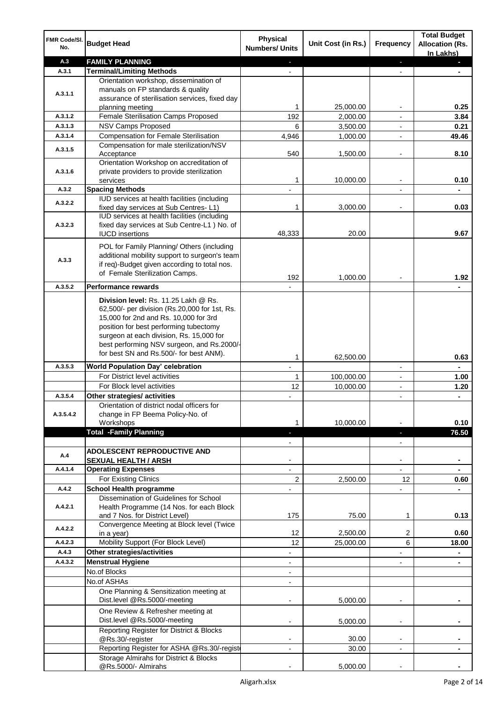| FMR Code/SI.<br>No. | <b>Budget Head</b>                                                                                                                                                                                                         | Physical<br><b>Numbers/ Units</b> | Unit Cost (in Rs.) | Frequency                | <b>Total Budget</b><br><b>Allocation (Rs.</b><br>In Lakhs) |
|---------------------|----------------------------------------------------------------------------------------------------------------------------------------------------------------------------------------------------------------------------|-----------------------------------|--------------------|--------------------------|------------------------------------------------------------|
| A.3                 | <b>FAMILY PLANNING</b>                                                                                                                                                                                                     | a.                                |                    | ٠                        | ٠                                                          |
| A.3.1               | <b>Terminal/Limiting Methods</b>                                                                                                                                                                                           |                                   |                    |                          |                                                            |
| A.3.1.1             | Orientation workshop, dissemination of<br>manuals on FP standards & quality<br>assurance of sterilisation services, fixed day                                                                                              |                                   |                    |                          |                                                            |
|                     | planning meeting                                                                                                                                                                                                           | 1                                 | 25,000.00          |                          | 0.25                                                       |
| A.3.1.2             | Female Sterilisation Camps Proposed                                                                                                                                                                                        | 192                               | 2,000.00           |                          | 3.84                                                       |
| A.3.1.3             | NSV Camps Proposed                                                                                                                                                                                                         | 6                                 | 3,500.00           | $\overline{a}$           | 0.21                                                       |
| A.3.1.4             | <b>Compensation for Female Sterilisation</b>                                                                                                                                                                               | 4,946                             | 1,000.00           | ÷,                       | 49.46                                                      |
| A.3.1.5             | Compensation for male sterilization/NSV<br>Acceptance                                                                                                                                                                      | 540                               | 1,500.00           |                          | 8.10                                                       |
| A.3.1.6             | Orientation Workshop on accreditation of<br>private providers to provide sterilization<br>services                                                                                                                         | 1                                 | 10,000.00          | $\overline{\phantom{a}}$ | 0.10                                                       |
| A.3.2               | <b>Spacing Methods</b>                                                                                                                                                                                                     |                                   |                    |                          |                                                            |
|                     | IUD services at health facilities (including                                                                                                                                                                               |                                   |                    |                          |                                                            |
| A.3.2.2             | fixed day services at Sub Centres-L1)<br>IUD services at health facilities (including                                                                                                                                      | 1                                 | 3,000.00           |                          | 0.03                                                       |
| A.3.2.3             | fixed day services at Sub Centre-L1 ) No. of                                                                                                                                                                               |                                   |                    |                          |                                                            |
|                     | <b>IUCD</b> insertions                                                                                                                                                                                                     | 48,333                            | 20.00              |                          | 9.67                                                       |
| A.3.3               | POL for Family Planning/ Others (including<br>additional mobility support to surgeon's team<br>if req)-Budget given according to total nos.<br>of Female Sterilization Camps.                                              |                                   |                    |                          |                                                            |
|                     |                                                                                                                                                                                                                            | 192                               | 1,000.00           |                          | 1.92                                                       |
| A.3.5.2             | Performance rewards<br>Division level: Rs. 11.25 Lakh @ Rs.                                                                                                                                                                |                                   |                    |                          |                                                            |
|                     | 62,500/- per division (Rs.20,000 for 1st, Rs.<br>15,000 for 2nd and Rs. 10,000 for 3rd<br>position for best performing tubectomy<br>surgeon at each division, Rs. 15,000 for<br>best performing NSV surgeon, and Rs.2000/- |                                   |                    |                          |                                                            |
|                     | for best SN and Rs.500/- for best ANM).                                                                                                                                                                                    | 1                                 | 62,500.00          |                          | 0.63                                                       |
| A.3.5.3             | <b>World Population Day' celebration</b>                                                                                                                                                                                   |                                   |                    | $\overline{\phantom{a}}$ |                                                            |
|                     | For District level activities                                                                                                                                                                                              | 1                                 | 100,000.00         |                          | 1.00                                                       |
|                     | For Block level activities                                                                                                                                                                                                 | 12                                | 10,000.00          |                          | 1.20                                                       |
| A.3.5.4             | Other strategies/ activities                                                                                                                                                                                               |                                   |                    | $\overline{a}$           |                                                            |
| A.3.5.4.2           | Orientation of district nodal officers for<br>change in FP Beema Policy-No. of                                                                                                                                             |                                   |                    |                          |                                                            |
|                     | Workshops                                                                                                                                                                                                                  | 1                                 | 10,000.00          |                          | 0.10                                                       |
|                     | <b>Total -Family Planning</b>                                                                                                                                                                                              | J,                                |                    | ٠                        | 76.50                                                      |
|                     |                                                                                                                                                                                                                            |                                   |                    |                          |                                                            |
| A.4                 | <b>ADOLESCENT REPRODUCTIVE AND</b><br><b>SEXUAL HEALTH / ARSH</b>                                                                                                                                                          |                                   |                    |                          |                                                            |
| A.4.1.4             | <b>Operating Expenses</b>                                                                                                                                                                                                  |                                   |                    |                          |                                                            |
|                     | For Existing Clinics                                                                                                                                                                                                       | 2                                 | 2,500.00           | 12                       | 0.60                                                       |
| A.4.2               | <b>School Health programme</b>                                                                                                                                                                                             |                                   |                    |                          |                                                            |
| A.4.2.1             | Dissemination of Guidelines for School<br>Health Programme (14 Nos. for each Block                                                                                                                                         |                                   |                    |                          |                                                            |
|                     | and 7 Nos. for District Level)                                                                                                                                                                                             | 175                               | 75.00              | 1                        | 0.13                                                       |
| A.4.2.2             | Convergence Meeting at Block level (Twice<br>in a year)                                                                                                                                                                    | 12                                | 2,500.00           | 2                        | 0.60                                                       |
| A.4.2.3             | Mobility Support (For Block Level)                                                                                                                                                                                         | 12                                | 25,000.00          | 6                        | 18.00                                                      |
| A.4.3               | Other strategies/activities                                                                                                                                                                                                |                                   |                    |                          |                                                            |
| A.4.3.2             | <b>Menstrual Hygiene</b>                                                                                                                                                                                                   |                                   |                    |                          | $\blacksquare$                                             |
|                     | No.of Blocks                                                                                                                                                                                                               | $\overline{\phantom{a}}$          |                    |                          |                                                            |
|                     | No.of ASHAs                                                                                                                                                                                                                | $\overline{\phantom{a}}$          |                    |                          |                                                            |
|                     | One Planning & Sensitization meeting at<br>Dist.level @Rs.5000/-meeting                                                                                                                                                    |                                   | 5,000.00           |                          |                                                            |
|                     | One Review & Refresher meeting at<br>Dist.level @Rs.5000/-meeting                                                                                                                                                          |                                   | 5,000.00           |                          |                                                            |
|                     | Reporting Register for District & Blocks<br>@Rs.30/-register                                                                                                                                                               |                                   | 30.00              |                          |                                                            |
|                     | Reporting Register for ASHA @Rs.30/-regist                                                                                                                                                                                 | $\blacksquare$                    | 30.00              | $\blacksquare$           |                                                            |
|                     | Storage Almirahs for District & Blocks<br>@Rs.5000/- Almirahs                                                                                                                                                              |                                   | 5,000.00           |                          |                                                            |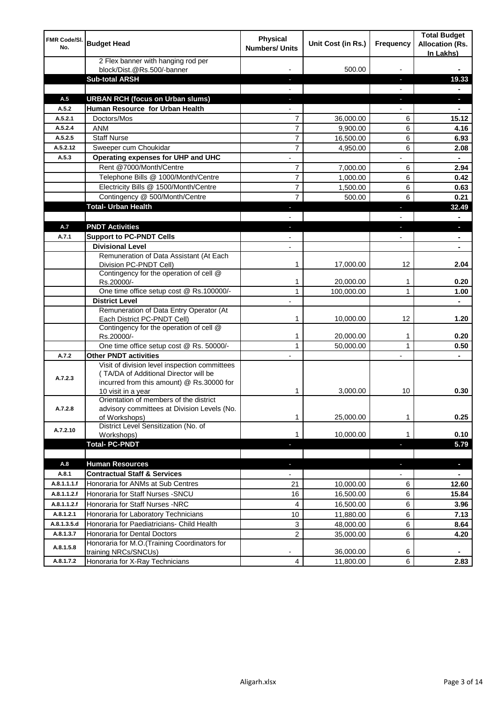| FMR Code/SI.<br>No.    | <b>Budget Head</b>                                                                                                                                        | <b>Physical</b><br><b>Numbers/ Units</b> | Unit Cost (in Rs.) | <b>Frequency</b>         | <b>Total Budget</b><br><b>Allocation (Rs.</b><br>In Lakhs) |
|------------------------|-----------------------------------------------------------------------------------------------------------------------------------------------------------|------------------------------------------|--------------------|--------------------------|------------------------------------------------------------|
|                        | 2 Flex banner with hanging rod per<br>block/Dist.@Rs.500/-banner                                                                                          |                                          | 500.00             |                          |                                                            |
|                        | <b>Sub-total ARSH</b>                                                                                                                                     |                                          |                    |                          | 19.33                                                      |
| A.5                    | <b>URBAN RCH (focus on Urban slums)</b>                                                                                                                   |                                          |                    |                          | T,                                                         |
| A.5.2                  | Human Resource for Urban Health                                                                                                                           |                                          |                    |                          |                                                            |
| A.5.2.1                | Doctors/Mos                                                                                                                                               | 7                                        | 36,000.00          | 6                        | 15.12                                                      |
| A.5.2.4                | <b>ANM</b>                                                                                                                                                | $\overline{7}$                           | 9,900.00           | 6                        | 4.16                                                       |
| A.5.2.5                | <b>Staff Nurse</b>                                                                                                                                        | $\overline{7}$                           | 16,500.00          | 6                        | 6.93                                                       |
| A.5.2.12               | Sweeper cum Choukidar                                                                                                                                     | $\overline{7}$                           | 4,950.00           | 6                        | 2.08                                                       |
| A.5.3                  | Operating expenses for UHP and UHC                                                                                                                        |                                          |                    |                          |                                                            |
|                        | Rent @7000/Month/Centre                                                                                                                                   | $\overline{7}$                           | 7,000.00           | 6                        | 2.94                                                       |
|                        | Telephone Bills @ 1000/Month/Centre                                                                                                                       | $\overline{7}$                           | 1,000.00           | 6                        | 0.42                                                       |
|                        | Electricity Bills @ 1500/Month/Centre                                                                                                                     | $\overline{7}$                           | 1,500.00           | 6                        | 0.63                                                       |
|                        | Contingency @ 500/Month/Centre                                                                                                                            | 7                                        | 500.00             | 6                        | 0.21                                                       |
|                        | <b>Total- Urban Health</b>                                                                                                                                |                                          |                    | ٠                        | 32.49                                                      |
|                        |                                                                                                                                                           |                                          |                    | $\overline{\phantom{0}}$ | ٠                                                          |
| A.7                    | <b>PNDT Activities</b>                                                                                                                                    | $\overline{\phantom{a}}$                 |                    | ٠                        | a,                                                         |
| A.7.1                  | <b>Support to PC-PNDT Cells</b>                                                                                                                           |                                          |                    | $\overline{\phantom{0}}$ |                                                            |
|                        | <b>Divisional Level</b>                                                                                                                                   | $\overline{a}$                           |                    |                          | ä,                                                         |
|                        | Remuneration of Data Assistant (At Each<br>Division PC-PNDT Cell)                                                                                         | 1                                        | 17,000.00          | 12                       | 2.04                                                       |
|                        | Contingency for the operation of cell @<br>Rs.20000/-                                                                                                     | 1                                        | 20,000.00          | 1                        | 0.20                                                       |
|                        | One time office setup cost @ Rs.100000/-                                                                                                                  | $\mathbf{1}$                             | 100,000.00         | $\mathbf{1}$             | 1.00                                                       |
|                        | <b>District Level</b>                                                                                                                                     | $\overline{a}$                           |                    |                          | ٠                                                          |
|                        | Remuneration of Data Entry Operator (At<br>Each District PC-PNDT Cell)                                                                                    | 1                                        | 10,000.00          | 12                       | 1.20                                                       |
|                        | Contingency for the operation of cell @<br>Rs.20000/-                                                                                                     | 1                                        | 20,000.00          | 1                        | 0.20                                                       |
|                        | One time office setup cost @ Rs. 50000/-                                                                                                                  | $\mathbf{1}$                             | 50,000.00          | 1                        | 0.50                                                       |
| A.7.2                  | <b>Other PNDT activities</b>                                                                                                                              |                                          |                    |                          |                                                            |
| A.7.2.3                | Visit of division level inspection committees<br>(TA/DA of Additional Director will be<br>incurred from this amount) @ Rs.30000 for<br>10 visit in a year | 1                                        | 3,000.00           | 10                       | 0.30                                                       |
| A.7.2.8                | Orientation of members of the district<br>advisory committees at Division Levels (No.<br>of Workshops)                                                    | 1                                        | 25,000.00          | 1                        | 0.25                                                       |
| A.7.2.10               | District Level Sensitization (No. of<br>Workshops)                                                                                                        | 1                                        | 10,000.00          | 1                        | 0.10                                                       |
|                        | <b>Total- PC-PNDT</b>                                                                                                                                     | E.                                       |                    | ı                        | 5.79                                                       |
|                        |                                                                                                                                                           |                                          |                    |                          |                                                            |
| A.8                    | <b>Human Resources</b>                                                                                                                                    |                                          |                    | ÷,                       | ٠                                                          |
| A.8.1                  | <b>Contractual Staff &amp; Services</b>                                                                                                                   |                                          |                    |                          |                                                            |
| A.8.1.1.1.f            | Honoraria for ANMs at Sub Centres                                                                                                                         | 21                                       | 10,000.00          | 6                        | 12.60                                                      |
| A.8.1.1.2.f            | Honoraria for Staff Nurses - SNCU                                                                                                                         | 16                                       | 16,500.00          | 6                        | 15.84                                                      |
| A.8.1.1.2.f            | Honoraria for Staff Nurses -NRC                                                                                                                           | 4                                        | 16,500.00          | 6                        | 3.96                                                       |
| A.8.1.2.1              | Honoraria for Laboratory Technicians                                                                                                                      | 10                                       | 11,880.00          | 6                        | 7.13                                                       |
| A.8.1.3.5.d            | Honoraria for Paediatricians- Child Health                                                                                                                | 3                                        | 48,000.00          | 6                        | 8.64                                                       |
| A.8.1.3.7<br>A.8.1.5.8 | Honoraria for Dental Doctors<br>Honoraria for M.O.(Training Coordinators for                                                                              | 2                                        | 35,000.00          | 6                        | 4.20                                                       |
|                        | training NRCs/SNCUs)                                                                                                                                      |                                          | 36,000.00          | 6                        |                                                            |
| A.8.1.7.2              | Honoraria for X-Ray Technicians                                                                                                                           | 4                                        | 11,800.00          | 6                        | 2.83                                                       |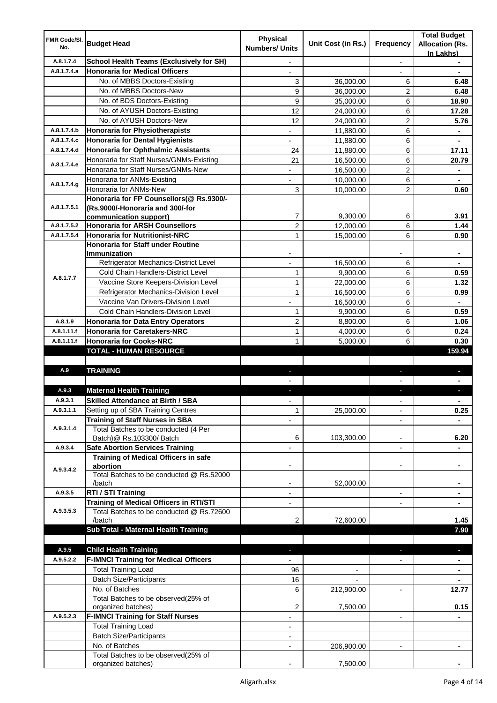| FMR Code/SI. |                                                           | <b>Physical</b>          |                    |                          | <b>Total Budget</b>    |
|--------------|-----------------------------------------------------------|--------------------------|--------------------|--------------------------|------------------------|
| No.          | <b>Budget Head</b>                                        | <b>Numbers/ Units</b>    | Unit Cost (in Rs.) | Frequency                | <b>Allocation (Rs.</b> |
| A.8.1.7.4    | <b>School Health Teams (Exclusively for SH)</b>           |                          |                    |                          | In Lakhs)              |
| A.8.1.7.4.a  | <b>Honoraria for Medical Officers</b>                     |                          |                    |                          |                        |
|              | No. of MBBS Doctors-Existing                              | 3                        | 36,000.00          | 6                        | 6.48                   |
|              | No. of MBBS Doctors-New                                   | 9                        | 36,000.00          | 2                        | 6.48                   |
|              | No. of BDS Doctors-Existing                               | 9                        | 35,000.00          | 6                        | 18.90                  |
|              | No. of AYUSH Doctors-Existing                             | 12                       | 24,000.00          | 6                        | 17.28                  |
|              | No. of AYUSH Doctors-New                                  | 12                       | 24,000.00          | 2                        | 5.76                   |
| A.8.1.7.4.b  | <b>Honoraria for Physiotherapists</b>                     | ۰                        | 11,880.00          | 6                        | ۰                      |
| A.8.1.7.4.c  | <b>Honoraria for Dental Hygienists</b>                    |                          | 11,880.00          | 6                        |                        |
| A.8.1.7.4.d  | <b>Honoraria for Ophthalmic Assistants</b>                | 24                       | 11,880.00          | 6                        | 17.11                  |
|              | Honoraria for Staff Nurses/GNMs-Existing                  | 21                       | 16,500.00          | 6                        | 20.79                  |
| A.8.1.7.4.e  | Honoraria for Staff Nurses/GNMs-New                       |                          | 16,500.00          | $\overline{c}$           |                        |
|              | Honoraria for ANMs-Existing                               |                          | 10,000.00          | 6                        |                        |
| A.8.1.7.4.g  | Honoraria for ANMs-New                                    | 3                        | 10,000.00          | 2                        | 0.60                   |
|              | Honoraria for FP Counsellors(@ Rs.9300/-                  |                          |                    |                          |                        |
| A.8.1.7.5.1  | (Rs.9000/-Honoraria and 300/-for                          |                          |                    |                          |                        |
|              | communication support)                                    | 7                        | 9,300.00           | 6                        | 3.91                   |
| A.8.1.7.5.2  | <b>Honoraria for ARSH Counsellors</b>                     | $\overline{c}$           | 12,000.00          | 6                        | 1.44                   |
| A.8.1.7.5.4  | <b>Honoraria for Nutritionist-NRC</b>                     | 1                        | 15,000.00          | 6                        | 0.90                   |
|              | Honoraria for Staff under Routine                         |                          |                    |                          |                        |
|              | Immunization                                              |                          |                    |                          |                        |
|              | Refrigerator Mechanics-District Level                     |                          | 16,500.00          | 6                        |                        |
| A.8.1.7.7    | Cold Chain Handlers-District Level                        | $\mathbf{1}$             | 9,900.00           | 6                        | 0.59                   |
|              | Vaccine Store Keepers-Division Level                      | $\mathbf{1}$             | 22,000.00          | 6                        | 1.32                   |
|              | Refrigerator Mechanics-Division Level                     | $\mathbf{1}$             | 16,500.00          | 6                        | 0.99                   |
|              | Vaccine Van Drivers-Division Level                        | ÷,                       | 16,500.00          | 6                        | $\blacksquare$         |
|              | Cold Chain Handlers-Division Level                        | 1                        | 9,900.00           | 6                        | 0.59                   |
| A.8.1.9      | <b>Honoraria for Data Entry Operators</b>                 | 2                        | 8,800.00           | 6                        | 1.06                   |
| A.8.1.11.f   | <b>Honoraria for Caretakers-NRC</b>                       | $\mathbf{1}$             | 4,000.00           | 6                        | 0.24                   |
| A.8.1.11.f   | <b>Honoraria for Cooks-NRC</b>                            | 1                        | 5,000.00           | 6                        | 0.30                   |
|              | TOTAL - HUMAN RESOURCE                                    |                          |                    |                          | 159.94                 |
|              |                                                           |                          |                    |                          |                        |
| A.9          | <b>TRAINING</b>                                           | ٠                        |                    | ٠                        | L                      |
|              |                                                           |                          |                    |                          |                        |
| A.9.3        | <b>Maternal Health Training</b>                           |                          |                    |                          |                        |
| A.9.3.1      | <b>Skilled Attendance at Birth / SBA</b>                  |                          |                    |                          |                        |
| A.9.3.1.1    | Setting up of SBA Training Centres                        | $\mathbf{1}$             | 25,000.00          |                          | 0.25                   |
|              | <b>Training of Staff Nurses in SBA</b>                    |                          |                    |                          |                        |
| A.9.3.1.4    | Total Batches to be conducted (4 Per                      |                          |                    |                          |                        |
|              | Batch)@ Rs.103300/ Batch                                  | 6                        | 103,300.00         |                          | 6.20                   |
| A.9.3.4      | <b>Safe Abortion Services Training</b>                    |                          |                    | $\overline{\phantom{a}}$ |                        |
|              | Training of Medical Officers in safe<br>abortion          |                          |                    | $\overline{a}$           |                        |
| A.9.3.4.2    | Total Batches to be conducted @ Rs.52000                  |                          |                    |                          |                        |
|              | /batch                                                    |                          | 52,000.00          |                          |                        |
| A.9.3.5      | RTI / STI Training                                        |                          |                    | $\overline{\phantom{0}}$ |                        |
|              | Training of Medical Officers in RTI/STI                   |                          |                    |                          |                        |
| A.9.3.5.3    | Total Batches to be conducted @ Rs.72600                  |                          |                    |                          |                        |
|              | /batch                                                    | 2                        | 72,600.00          |                          | 1.45                   |
|              | Sub Total - Maternal Health Training                      |                          |                    |                          | 7.90                   |
|              |                                                           |                          |                    |                          |                        |
| A.9.5        | <b>Child Health Training</b>                              |                          |                    |                          |                        |
| A.9.5.2.2    | <b>F-IMNCI Training for Medical Officers</b>              |                          |                    |                          |                        |
|              | <b>Total Training Load</b>                                | 96                       |                    |                          |                        |
|              | <b>Batch Size/Participants</b>                            | 16                       |                    |                          |                        |
|              | No. of Batches                                            | 6                        | 212,900.00         | $\overline{\phantom{a}}$ | 12.77                  |
|              | Total Batches to be observed(25% of                       |                          |                    |                          |                        |
|              | organized batches)                                        | 2                        | 7,500.00           |                          | 0.15                   |
| A.9.5.2.3    | <b>F-IMNCI Training for Staff Nurses</b>                  | $\overline{a}$           |                    | $\overline{\phantom{a}}$ |                        |
|              | <b>Total Training Load</b>                                | $\overline{\phantom{a}}$ |                    |                          |                        |
|              | <b>Batch Size/Participants</b>                            |                          |                    |                          |                        |
|              | No. of Batches                                            | $\overline{\phantom{a}}$ | 206,900.00         | $\overline{\phantom{a}}$ | $\blacksquare$         |
|              | Total Batches to be observed(25% of<br>organized batches) |                          | 7,500.00           |                          |                        |
|              |                                                           |                          |                    |                          |                        |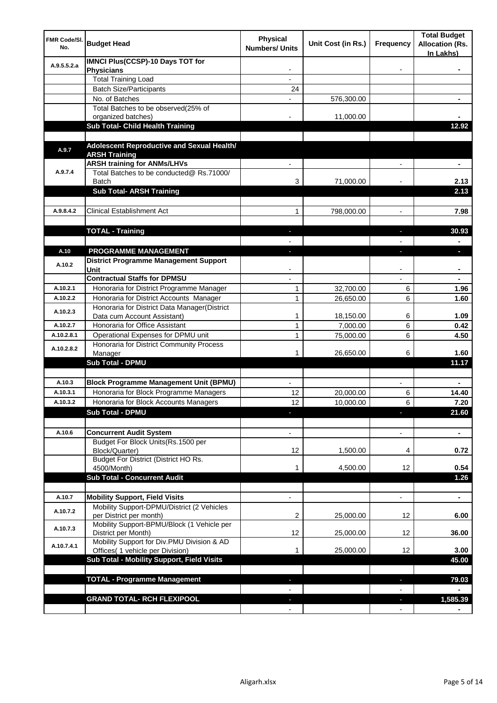| FMR Code/SI.<br>No. | <b>Budget Head</b>                                                             | <b>Physical</b><br><b>Numbers/ Units</b> | Unit Cost (in Rs.) | Frequency                | <b>Total Budget</b><br><b>Allocation (Rs.</b><br>In Lakhs) |
|---------------------|--------------------------------------------------------------------------------|------------------------------------------|--------------------|--------------------------|------------------------------------------------------------|
| A.9.5.5.2.a         | IMNCI Plus(CCSP)-10 Days TOT for<br><b>Physicians</b>                          |                                          |                    |                          |                                                            |
|                     | <b>Total Training Load</b>                                                     |                                          |                    |                          |                                                            |
|                     | <b>Batch Size/Participants</b>                                                 | 24                                       |                    |                          |                                                            |
|                     | No. of Batches                                                                 |                                          | 576,300.00         |                          |                                                            |
|                     | Total Batches to be observed(25% of                                            |                                          |                    |                          |                                                            |
|                     | organized batches)                                                             |                                          | 11,000.00          |                          |                                                            |
|                     | Sub Total- Child Health Training                                               |                                          |                    |                          | 12.92                                                      |
|                     |                                                                                |                                          |                    |                          |                                                            |
| A.9.7               | Adolescent Reproductive and Sexual Health/<br><b>ARSH Training</b>             |                                          |                    |                          |                                                            |
|                     | <b>ARSH training for ANMs/LHVs</b>                                             |                                          |                    |                          | ۰                                                          |
| A.9.7.4             | Total Batches to be conducted@ Rs.71000/                                       |                                          |                    |                          |                                                            |
|                     | Batch                                                                          | 3                                        | 71,000.00          |                          | 2.13                                                       |
|                     | <b>Sub Total- ARSH Training</b>                                                |                                          |                    |                          | 2.13                                                       |
|                     |                                                                                |                                          |                    |                          |                                                            |
| A.9.8.4.2           | <b>Clinical Establishment Act</b>                                              | 1                                        | 798,000.00         | $\overline{\phantom{a}}$ | 7.98                                                       |
|                     |                                                                                |                                          |                    |                          |                                                            |
|                     | <b>TOTAL - Training</b>                                                        | ٠                                        |                    | ٠                        | 30.93                                                      |
|                     |                                                                                |                                          |                    |                          |                                                            |
| A.10                | PROGRAMME MANAGEMENT                                                           | $\blacksquare$                           |                    | J,                       | ٠                                                          |
| A.10.2              | <b>District Programme Management Support</b><br>Unit                           |                                          |                    |                          |                                                            |
|                     | <b>Contractual Staffs for DPMSU</b>                                            |                                          |                    |                          |                                                            |
| A.10.2.1            | Honoraria for District Programme Manager                                       | 1                                        | 32,700.00          | 6                        | 1.96                                                       |
| A.10.2.2            | Honoraria for District Accounts Manager                                        | 1                                        | 26,650.00          | 6                        | 1.60                                                       |
| A.10.2.3            | Honoraria for District Data Manager(District<br>Data cum Account Assistant)    | 1                                        | 18,150.00          | 6                        | 1.09                                                       |
| A.10.2.7            | Honoraria for Office Assistant                                                 | 1                                        | 7,000.00           | 6                        | 0.42                                                       |
| A.10.2.8.1          | Operational Expenses for DPMU unit                                             | 1                                        | 75,000.00          | 6                        | 4.50                                                       |
|                     | Honoraria for District Community Process                                       |                                          |                    |                          |                                                            |
| A.10.2.8.2          | Manager                                                                        | 1                                        | 26,650.00          | 6                        | 1.60                                                       |
|                     | <b>Sub Total - DPMU</b>                                                        |                                          |                    |                          | 11.17                                                      |
|                     |                                                                                |                                          |                    |                          |                                                            |
| A.10.3              | <b>Block Programme Management Unit (BPMU)</b>                                  |                                          |                    |                          |                                                            |
| A.10.3.1            | Honoraria for Block Programme Managers                                         | 12                                       | 20,000.00          | 6                        | 14.40                                                      |
| A.10.3.2            | Honoraria for Block Accounts Managers                                          | 12                                       | 10,000.00          | 6 <sup>1</sup>           | 7.20                                                       |
|                     | <b>Sub Total - DPMU</b>                                                        |                                          |                    |                          | 21.60                                                      |
|                     |                                                                                |                                          |                    |                          |                                                            |
| A.10.6              | <b>Concurrent Audit System</b>                                                 |                                          |                    | $\overline{a}$           | $\blacksquare$                                             |
|                     | Budget For Block Units(Rs.1500 per<br>Block/Quarter)                           | 12                                       | 1,500.00           | 4                        | 0.72                                                       |
|                     | Budget For District (District HO Rs.                                           |                                          |                    |                          |                                                            |
|                     | 4500/Month)                                                                    | 1                                        | 4,500.00           | 12                       | 0.54                                                       |
|                     | <b>Sub Total - Concurrent Audit</b>                                            |                                          |                    |                          | 1.26                                                       |
|                     |                                                                                |                                          |                    |                          |                                                            |
| A.10.7              | <b>Mobility Support, Field Visits</b>                                          |                                          |                    | $\overline{a}$           | $\blacksquare$                                             |
| A.10.7.2            | Mobility Support-DPMU/District (2 Vehicles<br>per District per month)          | 2                                        | 25,000.00          | 12                       | 6.00                                                       |
| A.10.7.3            | Mobility Support-BPMU/Block (1 Vehicle per                                     |                                          |                    |                          |                                                            |
|                     | District per Month)                                                            | 12                                       | 25,000.00          | 12                       | 36.00                                                      |
| A.10.7.4.1          | Mobility Support for Div.PMU Division & AD                                     |                                          |                    |                          |                                                            |
|                     | Offices( 1 vehicle per Division)<br>Sub Total - Mobility Support, Field Visits | 1                                        | 25,000.00          | 12                       | 3.00                                                       |
|                     |                                                                                |                                          |                    |                          | 45.00                                                      |
|                     | <b>TOTAL - Programme Management</b>                                            |                                          |                    |                          | 79.03                                                      |
|                     |                                                                                |                                          |                    |                          |                                                            |
|                     | <b>GRAND TOTAL- RCH FLEXIPOOL</b>                                              |                                          |                    | P.                       | 1,585.39                                                   |
|                     |                                                                                |                                          |                    |                          |                                                            |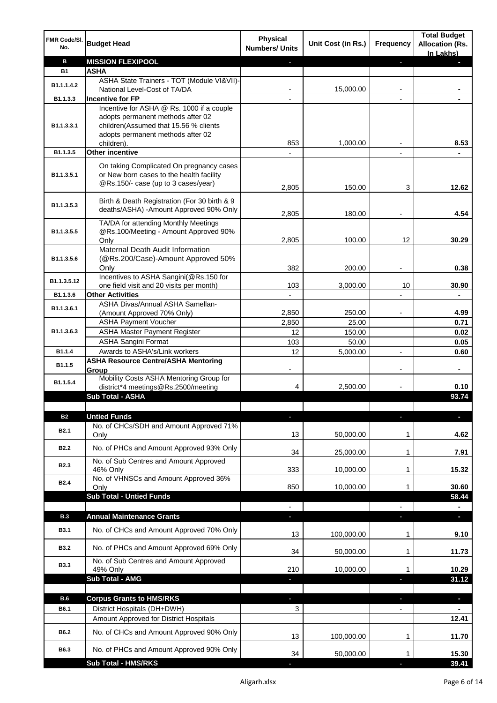| FMR Code/SI.<br>No.         | <b>Budget Head</b>                                                              | Physical<br><b>Numbers/ Units</b> | Unit Cost (in Rs.) | Frequency                | <b>Total Budget</b><br><b>Allocation (Rs.</b><br>In Lakhs) |
|-----------------------------|---------------------------------------------------------------------------------|-----------------------------------|--------------------|--------------------------|------------------------------------------------------------|
| в                           | <b>MISSION FLEXIPOOL</b>                                                        |                                   |                    | P.                       |                                                            |
| <b>B1</b>                   | ASHA                                                                            |                                   |                    |                          |                                                            |
| B1.1.1.4.2                  | ASHA State Trainers - TOT (Module VI&VII)-                                      |                                   |                    |                          |                                                            |
|                             | National Level-Cost of TA/DA                                                    |                                   | 15,000.00          |                          |                                                            |
| B1.1.3.3                    | <b>Incentive for FP</b>                                                         |                                   |                    |                          |                                                            |
|                             | Incentive for ASHA @ Rs. 1000 if a couple                                       |                                   |                    |                          |                                                            |
| B1.1.3.3.1                  | adopts permanent methods after 02<br>children(Assumed that 15.56 % clients      |                                   |                    |                          |                                                            |
|                             | adopts permanent methods after 02                                               |                                   |                    |                          |                                                            |
|                             | children).                                                                      | 853                               | 1,000.00           |                          | 8.53                                                       |
| B1.1.3.5                    | Other incentive                                                                 |                                   |                    |                          |                                                            |
|                             | On taking Complicated On pregnancy cases                                        |                                   |                    |                          |                                                            |
| B1.1.3.5.1                  | or New born cases to the health facility<br>@Rs.150/- case (up to 3 cases/year) | 2,805                             | 150.00             | 3                        | 12.62                                                      |
|                             | Birth & Death Registration (For 30 birth & 9                                    |                                   |                    |                          |                                                            |
| B1.1.3.5.3                  | deaths/ASHA) - Amount Approved 90% Only                                         |                                   |                    |                          |                                                            |
|                             |                                                                                 | 2,805                             | 180.00             |                          | 4.54                                                       |
| B1.1.3.5.5                  | TA/DA for attending Monthly Meetings<br>@Rs.100/Meeting - Amount Approved 90%   |                                   |                    |                          |                                                            |
|                             | Only                                                                            | 2,805                             | 100.00             | 12                       | 30.29                                                      |
|                             | Maternal Death Audit Information                                                |                                   |                    |                          |                                                            |
| B1.1.3.5.6                  | (@Rs.200/Case)-Amount Approved 50%                                              |                                   |                    |                          |                                                            |
|                             | Only                                                                            | 382                               | 200.00             | $\blacksquare$           | 0.38                                                       |
| B <sub>1.1</sub> , 3, 5, 12 | Incentives to ASHA Sangini(@Rs.150 for                                          |                                   |                    |                          |                                                            |
|                             | one field visit and 20 visits per month)                                        | 103                               | 3,000.00           | 10                       | 30.90                                                      |
| B1.1.3.6                    | <b>Other Activities</b>                                                         |                                   |                    |                          |                                                            |
| B1.1.3.6.1                  | ASHA Divas/Annual ASHA Samellan-                                                | 2,850                             | 250.00             |                          | 4.99                                                       |
|                             | (Amount Approved 70% Only)<br><b>ASHA Payment Voucher</b>                       |                                   | 25.00              |                          | 0.71                                                       |
| B1.1.3.6.3                  | <b>ASHA Master Payment Register</b>                                             | 2,850<br>12                       | 150.00             |                          | 0.02                                                       |
|                             | <b>ASHA Sangini Format</b>                                                      | 103                               | 50.00              |                          | 0.05                                                       |
| B1.1.4                      | Awards to ASHA's/Link workers                                                   | 12                                | 5,000.00           | $\overline{\phantom{a}}$ | 0.60                                                       |
|                             | <b>ASHA Resource Centre/ASHA Mentoring</b>                                      |                                   |                    |                          |                                                            |
| B1.1.5                      | Group                                                                           |                                   |                    |                          |                                                            |
| B1.1.5.4                    | Mobility Costs ASHA Mentoring Group for                                         |                                   |                    |                          |                                                            |
|                             | district*4 meetings@Rs.2500/meeting                                             | 4                                 | 2,500.00           |                          | 0.10                                                       |
|                             | <b>Sub Total - ASHA</b>                                                         |                                   |                    |                          | 93.74                                                      |
|                             |                                                                                 |                                   |                    |                          |                                                            |
| <b>B2</b>                   | <b>Untied Funds</b>                                                             | г                                 |                    | ı                        | ٠                                                          |
| <b>B2.1</b>                 | No. of CHCs/SDH and Amount Approved 71%                                         |                                   |                    |                          |                                                            |
|                             | Only                                                                            | 13                                | 50,000.00          | 1                        | 4.62                                                       |
| <b>B2.2</b>                 | No. of PHCs and Amount Approved 93% Only                                        | 34                                | 25,000.00          | 1                        | 7.91                                                       |
|                             | No. of Sub Centres and Amount Approved                                          |                                   |                    |                          |                                                            |
| B <sub>2.3</sub>            | 46% Only                                                                        | 333                               | 10,000.00          | 1                        | 15.32                                                      |
| <b>B2.4</b>                 | No. of VHNSCs and Amount Approved 36%                                           |                                   |                    |                          |                                                            |
|                             | Only                                                                            | 850                               | 10,000.00          | 1                        | 30.60                                                      |
|                             | <b>Sub Total - Untied Funds</b>                                                 |                                   |                    |                          | 58.44                                                      |
|                             |                                                                                 |                                   |                    |                          | $\blacksquare$                                             |
| B.3                         | <b>Annual Maintenance Grants</b>                                                |                                   |                    |                          | a,                                                         |
| <b>B3.1</b>                 | No. of CHCs and Amount Approved 70% Only                                        | 13                                | 100,000.00         | 1                        | 9.10                                                       |
| <b>B3.2</b>                 | No. of PHCs and Amount Approved 69% Only                                        | 34                                | 50,000.00          | 1                        | 11.73                                                      |
| <b>B3.3</b>                 | No. of Sub Centres and Amount Approved                                          |                                   |                    |                          |                                                            |
|                             | 49% Only                                                                        | 210                               | 10,000.00          | 1                        | 10.29                                                      |
|                             | <b>Sub Total - AMG</b>                                                          |                                   |                    |                          | 31.12                                                      |
|                             |                                                                                 |                                   |                    |                          |                                                            |
| B.6                         | <b>Corpus Grants to HMS/RKS</b>                                                 | ٠                                 |                    | J                        | ×.                                                         |
| B6.1                        | District Hospitals (DH+DWH)                                                     | 3                                 |                    |                          |                                                            |
|                             | Amount Approved for District Hospitals                                          |                                   |                    |                          | 12.41                                                      |
| <b>B6.2</b>                 | No. of CHCs and Amount Approved 90% Only                                        | 13                                | 100,000.00         | 1                        | 11.70                                                      |
|                             |                                                                                 |                                   |                    |                          |                                                            |
| B6.3                        | No. of PHCs and Amount Approved 90% Only                                        | 34                                | 50,000.00          | 1                        | 15.30                                                      |
|                             | <b>Sub Total - HMS/RKS</b>                                                      |                                   |                    |                          | 39.41                                                      |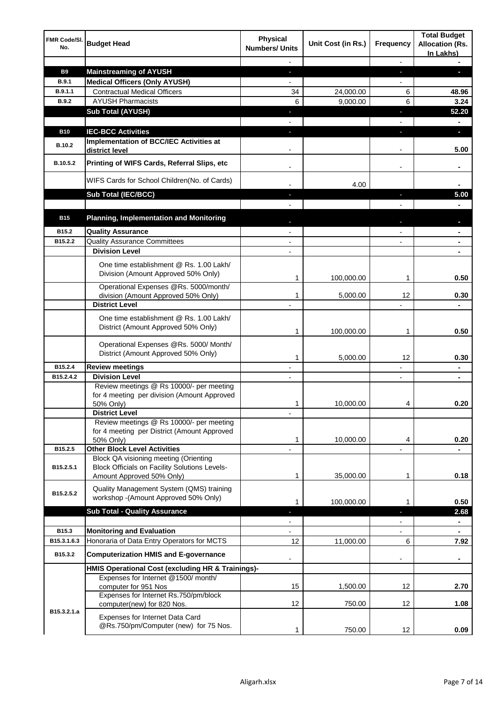| FMR Code/SI.<br>No. | <b>Budget Head</b>                                                                                                                | <b>Physical</b><br><b>Numbers/ Units</b> | Unit Cost (in Rs.) | <b>Frequency</b>         | <b>Total Budget</b><br><b>Allocation (Rs.</b><br>In Lakhs) |
|---------------------|-----------------------------------------------------------------------------------------------------------------------------------|------------------------------------------|--------------------|--------------------------|------------------------------------------------------------|
|                     |                                                                                                                                   |                                          |                    | $\overline{\phantom{a}}$ | $\blacksquare$                                             |
| <b>B9</b>           | <b>Mainstreaming of AYUSH</b>                                                                                                     | a,                                       |                    | P.                       | T.                                                         |
| B.9.1               | Medical Officers (Only AYUSH)                                                                                                     |                                          |                    | $\overline{a}$           |                                                            |
| B.9.1.1             | <b>Contractual Medical Officers</b>                                                                                               | 34                                       | 24,000.00          | 6                        | 48.96                                                      |
| <b>B.9.2</b>        | <b>AYUSH Pharmacists</b>                                                                                                          | 6                                        | 9,000.00           | 6                        | 3.24                                                       |
|                     | <b>Sub Total (AYUSH)</b>                                                                                                          | ٠                                        |                    | ٠                        | 52.20                                                      |
|                     |                                                                                                                                   |                                          |                    |                          | $\blacksquare$                                             |
| <b>B10</b>          | <b>IEC-BCC Activities</b><br>Implementation of BCC/IEC Activities at                                                              | J,                                       |                    | ı                        | $\overline{\phantom{a}}$                                   |
| <b>B.10.2</b>       | district level                                                                                                                    |                                          |                    | $\blacksquare$           | 5.00                                                       |
| B.10.5.2            | Printing of WIFS Cards, Referral Slips, etc                                                                                       | $\overline{\phantom{a}}$                 |                    | $\blacksquare$           | ٠                                                          |
|                     | WIFS Cards for School Children(No. of Cards)                                                                                      |                                          | 4.00               |                          |                                                            |
|                     | Sub Total (IEC/BCC)                                                                                                               |                                          |                    |                          | 5.00                                                       |
| <b>B15</b>          | <b>Planning, Implementation and Monitoring</b>                                                                                    |                                          |                    |                          |                                                            |
| B <sub>15.2</sub>   | <b>Quality Assurance</b>                                                                                                          |                                          |                    |                          | ٠                                                          |
| B15.2.2             | <b>Quality Assurance Committees</b>                                                                                               | $\overline{\phantom{a}}$                 |                    | $\overline{\phantom{0}}$ | ۰                                                          |
|                     | <b>Division Level</b>                                                                                                             |                                          |                    |                          |                                                            |
|                     | One time establishment @ Rs. 1.00 Lakh/<br>Division (Amount Approved 50% Only)                                                    | 1                                        | 100,000.00         | 1                        | 0.50                                                       |
|                     | Operational Expenses @Rs. 5000/month/<br>division (Amount Approved 50% Only)                                                      | 1                                        | 5,000.00           | 12                       | 0.30                                                       |
|                     | <b>District Level</b>                                                                                                             |                                          |                    |                          |                                                            |
|                     | One time establishment @ Rs. 1.00 Lakh/<br>District (Amount Approved 50% Only)                                                    | 1                                        | 100,000.00         | 1                        | 0.50                                                       |
|                     | Operational Expenses @Rs. 5000/ Month/<br>District (Amount Approved 50% Only)                                                     | 1                                        | 5,000.00           | 12                       | 0.30                                                       |
| B15.2.4             | <b>Review meetings</b>                                                                                                            | $\blacksquare$                           |                    | -                        | $\blacksquare$                                             |
| B15.2.4.2           | <b>Division Level</b>                                                                                                             |                                          |                    | $\overline{\phantom{a}}$ | ۰                                                          |
|                     | Review meetings @ Rs 10000/- per meeting<br>for 4 meeting per division (Amount Approved<br>50% Only)                              | 1                                        | 10,000.00          | 4                        | 0.20                                                       |
|                     | <b>District Level</b>                                                                                                             |                                          |                    |                          |                                                            |
|                     | Review meetings @ Rs 10000/- per meeting<br>for 4 meeting per District (Amount Approved<br>50% Only)                              | 1                                        | 10,000.00          | 4                        | 0.20                                                       |
| B15.2.5             | <b>Other Block Level Activities</b>                                                                                               |                                          |                    |                          |                                                            |
| B15.2.5.1           | <b>Block QA visioning meeting (Orienting</b><br><b>Block Officials on Facility Solutions Levels-</b><br>Amount Approved 50% Only) | 1                                        | 35,000.00          | 1                        | 0.18                                                       |
| B15.2.5.2           | Quality Management System (QMS) training                                                                                          |                                          |                    |                          |                                                            |
|                     | workshop - (Amount Approved 50% Only)                                                                                             | 1                                        | 100,000.00         | 1                        | 0.50                                                       |
|                     | <b>Sub Total - Quality Assurance</b>                                                                                              | J,                                       |                    | ÷.                       | 2.68                                                       |
|                     |                                                                                                                                   |                                          |                    |                          | ٠                                                          |
| B15.3               | <b>Monitoring and Evaluation</b>                                                                                                  |                                          |                    |                          |                                                            |
| B15.3.1.6.3         | Honoraria of Data Entry Operators for MCTS                                                                                        | 12                                       | 11,000.00          | 6                        | 7.92                                                       |
| B15.3.2             | <b>Computerization HMIS and E-governance</b>                                                                                      |                                          |                    |                          | ä,                                                         |
|                     | HMIS Operational Cost (excluding HR & Trainings)-<br>Expenses for Internet @1500/month/                                           |                                          |                    |                          |                                                            |
|                     | computer for 951 Nos                                                                                                              | 15                                       | 1,500.00           | 12                       | 2.70                                                       |
|                     | Expenses for Internet Rs.750/pm/block<br>computer(new) for 820 Nos.                                                               | 12                                       | 750.00             | 12                       | 1.08                                                       |
| B15.3.2.1.a         | Expenses for Internet Data Card<br>@Rs.750/pm/Computer (new) for 75 Nos.                                                          | 1                                        | 750.00             | 12                       | 0.09                                                       |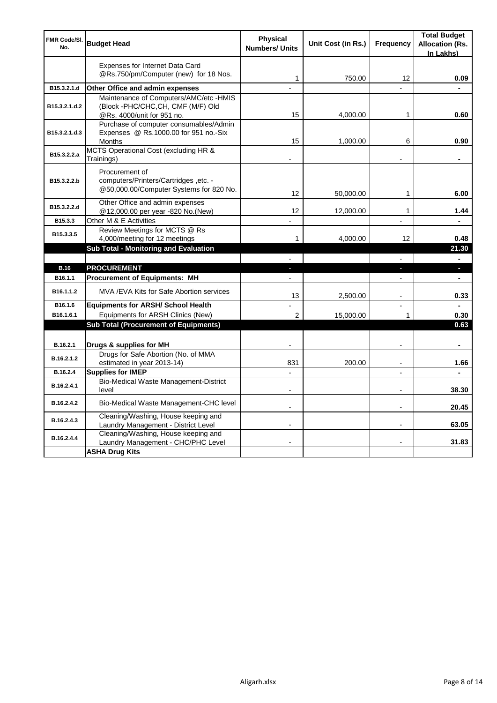| <b>FMR Code/SI.</b><br>No. | <b>Budget Head</b>                                                                                         | <b>Physical</b><br><b>Numbers/ Units</b> | Unit Cost (in Rs.) | <b>Frequency</b>         | <b>Total Budget</b><br><b>Allocation (Rs.</b><br>In Lakhs) |
|----------------------------|------------------------------------------------------------------------------------------------------------|------------------------------------------|--------------------|--------------------------|------------------------------------------------------------|
|                            | Expenses for Internet Data Card<br>@Rs.750/pm/Computer (new) for 18 Nos.                                   | 1                                        | 750.00             | 12                       | 0.09                                                       |
| B15.3.2.1.d                | <b>Other Office and admin expenses</b>                                                                     |                                          |                    |                          |                                                            |
| B15.3.2.1.d.2              | Maintenance of Computers/AMC/etc -HMIS<br>(Block -PHC/CHC, CH, CMF (M/F) Old<br>@Rs. 4000/unit for 951 no. | 15                                       | 4,000.00           | 1                        | 0.60                                                       |
| B15.3.2.1.d.3              | Purchase of computer consumables/Admin<br>Expenses @ Rs.1000.00 for 951 no.-Six<br><b>Months</b>           | 15                                       | 1,000.00           | 6                        | 0.90                                                       |
| B15.3.2.2.a                | MCTS Operational Cost (excluding HR &<br>Trainings)                                                        |                                          |                    |                          |                                                            |
| B15.3.2.2.b                | Procurement of<br>computers/Printers/Cartridges ,etc. -<br>@50,000.00/Computer Systems for 820 No.         | 12                                       | 50,000.00          | $\mathbf{1}$             | 6.00                                                       |
| B15.3.2.2.d                | Other Office and admin expenses<br>@12,000.00 per year -820 No. (New)                                      | 12                                       | 12,000.00          | 1                        | 1.44                                                       |
| B15.3.3                    | Other M & E Activities                                                                                     | $\overline{a}$                           |                    | $\mathbf{r}$             |                                                            |
| B15.3.3.5                  | Review Meetings for MCTS @ Rs<br>4,000/meeting for 12 meetings<br>Sub Total - Monitoring and Evaluation    | 1                                        | 4,000.00           | 12                       | 0.48<br>21.30                                              |
|                            |                                                                                                            |                                          |                    |                          |                                                            |
| <b>B.16</b>                | <b>PROCUREMENT</b>                                                                                         |                                          |                    |                          |                                                            |
| B16.1.1                    | <b>Procurement of Equipments: MH</b>                                                                       |                                          |                    | $\overline{a}$           | $\blacksquare$                                             |
| B16.1.1.2                  | MVA /EVA Kits for Safe Abortion services                                                                   | 13                                       | 2,500.00           | $\overline{a}$           | 0.33                                                       |
| B16.1.6                    | <b>Equipments for ARSH/ School Health</b>                                                                  | $\overline{a}$                           |                    | $\overline{\phantom{a}}$ |                                                            |
| B16.1.6.1                  | Equipments for ARSH Clinics (New)                                                                          | $\overline{2}$                           | 15,000.00          | 1                        | 0.30                                                       |
|                            | <b>Sub Total (Procurement of Equipments)</b>                                                               |                                          |                    |                          | 0.63                                                       |
|                            |                                                                                                            |                                          |                    |                          |                                                            |
| B.16.2.1<br>B.16.2.1.2     | Drugs & supplies for MH<br>Drugs for Safe Abortion (No. of MMA                                             | $\overline{\phantom{a}}$                 |                    | $\blacksquare$           | $\blacksquare$                                             |
|                            | estimated in year 2013-14)                                                                                 | 831                                      | 200.00             | $\overline{\phantom{a}}$ | 1.66                                                       |
| B.16.2.4                   | <b>Supplies for IMEP</b>                                                                                   | $\overline{a}$                           |                    | $\blacksquare$           | ä,                                                         |
| B.16.2.4.1                 | Bio-Medical Waste Management-District<br>level                                                             |                                          |                    | ÷,                       | 38.30                                                      |
| B.16.2.4.2                 | Bio-Medical Waste Management-CHC level                                                                     |                                          |                    |                          | 20.45                                                      |
| B.16.2.4.3                 | Cleaning/Washing, House keeping and<br>Laundry Management - District Level                                 |                                          |                    | $\overline{a}$           | 63.05                                                      |
| B.16.2.4.4                 | Cleaning/Washing, House keeping and<br>Laundry Management - CHC/PHC Level                                  |                                          |                    |                          | 31.83                                                      |
|                            | <b>ASHA Drug Kits</b>                                                                                      |                                          |                    |                          |                                                            |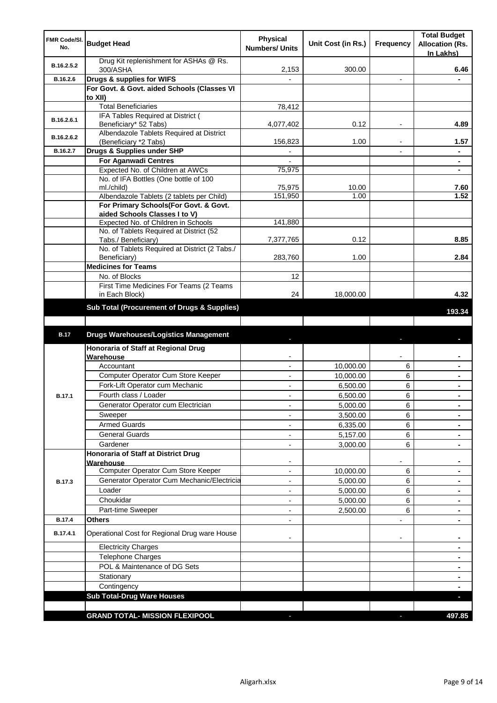| FMR Code/SI.<br>No. | <b>Budget Head</b>                                                     | Physical<br><b>Numbers/ Units</b> | Unit Cost (in Rs.) | Frequency                | <b>Total Budget</b><br><b>Allocation (Rs.</b><br>In Lakhs) |
|---------------------|------------------------------------------------------------------------|-----------------------------------|--------------------|--------------------------|------------------------------------------------------------|
| B.16.2.5.2          | Drug Kit replenishment for ASHAs @ Rs.<br>300/ASHA                     | 2,153                             | 300.00             |                          | 6.46                                                       |
| B.16.2.6            | Drugs & supplies for WIFS                                              |                                   |                    | $\overline{a}$           |                                                            |
|                     | For Govt. & Govt. aided Schools (Classes VI<br>to XII)                 |                                   |                    |                          |                                                            |
|                     | <b>Total Beneficiaries</b>                                             | 78,412                            |                    |                          |                                                            |
|                     | IFA Tables Required at District (                                      |                                   |                    |                          |                                                            |
| B.16.2.6.1          | Beneficiary* 52 Tabs)                                                  | 4,077,402                         | 0.12               | $\overline{\phantom{a}}$ | 4.89                                                       |
| B.16.2.6.2          | Albendazole Tablets Required at District<br>(Beneficiary *2 Tabs)      | 156,823                           | 1.00               | $\overline{\phantom{a}}$ | 1.57                                                       |
| B.16.2.7            | Drugs & Supplies under SHP                                             | ÷,                                |                    | $\overline{\phantom{a}}$ | $\blacksquare$                                             |
|                     | <b>For Aganwadi Centres</b>                                            |                                   |                    |                          | ٠                                                          |
|                     | Expected No. of Children at AWCs                                       | 75,975                            |                    |                          |                                                            |
|                     | No. of IFA Bottles (One bottle of 100                                  |                                   |                    |                          |                                                            |
|                     | ml./child)                                                             | 75,975                            | 10.00              |                          | 7.60                                                       |
|                     | Albendazole Tablets (2 tablets per Child)                              | 151,950                           | 1.00               |                          | 1.52                                                       |
|                     | For Primary Schools(For Govt. & Govt.<br>aided Schools Classes I to V) |                                   |                    |                          |                                                            |
|                     | Expected No. of Children in Schools                                    | 141,880                           |                    |                          |                                                            |
|                     | No. of Tablets Required at District (52                                |                                   |                    |                          |                                                            |
|                     | Tabs./ Beneficiary)                                                    | 7,377,765                         | 0.12               |                          | 8.85                                                       |
|                     | No. of Tablets Required at District (2 Tabs./                          |                                   |                    |                          |                                                            |
|                     | Beneficiary)                                                           | 283,760                           | 1.00               |                          | 2.84                                                       |
|                     | <b>Medicines for Teams</b>                                             |                                   |                    |                          |                                                            |
|                     | No. of Blocks                                                          | 12                                |                    |                          |                                                            |
|                     | First Time Medicines For Teams (2 Teams                                |                                   |                    |                          |                                                            |
|                     | in Each Block)                                                         | 24                                | 18,000.00          |                          | 4.32                                                       |
|                     | Sub Total (Procurement of Drugs & Supplies)                            |                                   |                    |                          | 193.34                                                     |
|                     |                                                                        |                                   |                    |                          |                                                            |
| <b>B.17</b>         | <b>Drugs Warehouses/Logistics Management</b>                           |                                   |                    |                          |                                                            |
|                     | Honoraria of Staff at Regional Drug<br>Warehouse                       |                                   |                    |                          |                                                            |
|                     | Accountant                                                             |                                   | 10,000.00          | 6                        |                                                            |
|                     | Computer Operator Cum Store Keeper                                     | $\overline{a}$                    | 10,000.00          | 6                        |                                                            |
|                     | Fork-Lift Operator cum Mechanic                                        |                                   | 6,500.00           | 6                        |                                                            |
| B.17.1              | Fourth class / Loader                                                  |                                   | 6,500.00           | 6                        |                                                            |
|                     | Generator Operator cum Electrician                                     |                                   | 5,000.00           | 6                        |                                                            |
|                     | Sweeper                                                                |                                   | 3,500.00           | 6                        |                                                            |
|                     | <b>Armed Guards</b>                                                    |                                   |                    |                          |                                                            |
|                     |                                                                        |                                   | 6,335.00           | 6                        |                                                            |
|                     | <b>General Guards</b>                                                  |                                   | 5,157.00           | 6                        |                                                            |
|                     | Gardener                                                               |                                   | 3,000.00           | 6                        |                                                            |
|                     | Honoraria of Staff at District Drug<br>Warehouse                       |                                   |                    |                          |                                                            |
|                     | Computer Operator Cum Store Keeper                                     |                                   | 10,000.00          | 6                        |                                                            |
| B.17.3              | Generator Operator Cum Mechanic/Electricia                             |                                   | 5,000.00           | 6                        |                                                            |
|                     | Loader                                                                 |                                   | 5,000.00           | 6                        | ۰                                                          |
|                     | Choukidar                                                              |                                   | 5,000.00           | 6                        |                                                            |
|                     | Part-time Sweeper                                                      |                                   | 2,500.00           | 6                        | $\blacksquare$                                             |
| <b>B.17.4</b>       | <b>Others</b>                                                          |                                   |                    | $\overline{a}$           |                                                            |
| B.17.4.1            | Operational Cost for Regional Drug ware House                          | $\blacksquare$                    |                    | $\blacksquare$           |                                                            |
|                     | <b>Electricity Charges</b>                                             |                                   |                    |                          | ۰                                                          |
|                     |                                                                        |                                   |                    |                          |                                                            |
|                     | Telephone Charges                                                      |                                   |                    |                          | $\blacksquare$                                             |
|                     | POL & Maintenance of DG Sets                                           |                                   |                    |                          | $\blacksquare$                                             |
|                     | Stationary                                                             |                                   |                    |                          | ٠                                                          |
|                     | Contingency                                                            |                                   |                    |                          |                                                            |
|                     | <b>Sub Total-Drug Ware Houses</b>                                      |                                   |                    |                          |                                                            |
|                     | <b>GRAND TOTAL- MISSION FLEXIPOOL</b>                                  |                                   |                    |                          | 497.85                                                     |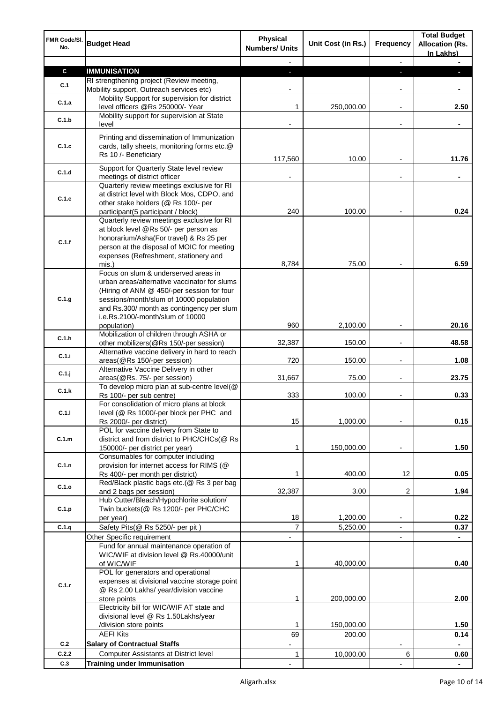| FMR Code/SI.<br>No. | <b>Budget Head</b>                                                                        | <b>Physical</b><br><b>Numbers/ Units</b> | Unit Cost (in Rs.) | Frequency                | <b>Total Budget</b><br><b>Allocation (Rs.</b><br>In Lakhs) |
|---------------------|-------------------------------------------------------------------------------------------|------------------------------------------|--------------------|--------------------------|------------------------------------------------------------|
|                     |                                                                                           |                                          |                    |                          |                                                            |
| $\mathbf c$         | <b>IMMUNISATION</b>                                                                       | $\overline{\phantom{a}}$                 |                    | P.                       |                                                            |
| C.1                 | RI strengthening project (Review meeting,                                                 |                                          |                    |                          |                                                            |
|                     | Mobility support, Outreach services etc)<br>Mobility Support for supervision for district |                                          |                    |                          |                                                            |
| C.1.a               | level officers @Rs 250000/- Year                                                          | 1                                        | 250,000.00         | $\overline{a}$           | 2.50                                                       |
|                     | Mobility support for supervision at State                                                 |                                          |                    |                          |                                                            |
| C.1.b               | level                                                                                     |                                          |                    |                          |                                                            |
|                     | Printing and dissemination of Immunization                                                |                                          |                    |                          |                                                            |
| C.1.c               | cards, tally sheets, monitoring forms etc.@                                               |                                          |                    |                          |                                                            |
|                     | Rs 10 /- Beneficiary                                                                      |                                          |                    |                          |                                                            |
|                     |                                                                                           | 117,560                                  | 10.00              |                          | 11.76                                                      |
| C.1.d               | Support for Quarterly State level review<br>meetings of district officer                  |                                          |                    |                          |                                                            |
|                     | Quarterly review meetings exclusive for RI                                                |                                          |                    |                          |                                                            |
|                     | at district level with Block Mos, CDPO, and                                               |                                          |                    |                          |                                                            |
| C.1.e               | other stake holders (@ Rs 100/- per                                                       |                                          |                    |                          |                                                            |
|                     | participant(5 participant / block)                                                        | 240                                      | 100.00             |                          | 0.24                                                       |
|                     | Quarterly review meetings exclusive for RI                                                |                                          |                    |                          |                                                            |
|                     | at block level @Rs 50/- per person as                                                     |                                          |                    |                          |                                                            |
| C.1.f               | honorarium/Asha(For travel) & Rs 25 per                                                   |                                          |                    |                          |                                                            |
|                     | person at the disposal of MOIC for meeting<br>expenses (Refreshment, stationery and       |                                          |                    |                          |                                                            |
|                     | mis.)                                                                                     | 8,784                                    | 75.00              |                          | 6.59                                                       |
|                     | Focus on slum & underserved areas in                                                      |                                          |                    |                          |                                                            |
|                     | urban areas/alternative vaccinator for slums                                              |                                          |                    |                          |                                                            |
|                     | (Hiring of ANM @ 450/-per session for four                                                |                                          |                    |                          |                                                            |
| C.1.g               | sessions/month/slum of 10000 population                                                   |                                          |                    |                          |                                                            |
|                     | and Rs.300/ month as contingency per slum                                                 |                                          |                    |                          |                                                            |
|                     | i.e.Rs.2100/-month/slum of 10000                                                          |                                          |                    |                          |                                                            |
|                     | population)<br>Mobilization of children through ASHA or                                   | 960                                      | 2,100.00           |                          | 20.16                                                      |
| C.1.h               | other mobilizers(@Rs 150/-per session)                                                    | 32,387                                   | 150.00             |                          | 48.58                                                      |
|                     | Alternative vaccine delivery in hard to reach                                             |                                          |                    |                          |                                                            |
| C.1.i               | areas(@Rs 150/-per session)                                                               | 720                                      | 150.00             |                          | 1.08                                                       |
| C.1.j               | Alternative Vaccine Delivery in other                                                     |                                          |                    |                          |                                                            |
|                     | areas(@Rs. 75/- per session)                                                              | 31,667                                   | 75.00              | $\overline{\phantom{a}}$ | 23.75                                                      |
| C.1.k               | To develop micro plan at sub-centre level(@                                               |                                          |                    |                          |                                                            |
|                     | Rs 100/- per sub centre)<br>For consolidation of micro plans at block                     | 333                                      | 100.00             |                          | 0.33                                                       |
| C.1.1               | level (@ Rs 1000/-per block per PHC and                                                   |                                          |                    |                          |                                                            |
|                     | Rs 2000/- per district)                                                                   | 15                                       | 1,000.00           |                          | 0.15                                                       |
|                     | POL for vaccine delivery from State to                                                    |                                          |                    |                          |                                                            |
| C.1.m               | district and from district to PHC/CHCs(@ Rs                                               |                                          |                    |                          |                                                            |
|                     | 150000/- per district per year)                                                           | 1                                        | 150,000.00         | $\overline{a}$           | 1.50                                                       |
|                     | Consumables for computer including                                                        |                                          |                    |                          |                                                            |
| C.1.n               | provision for internet access for RIMS (@                                                 | 1                                        | 400.00             | 12                       | 0.05                                                       |
|                     | Rs 400/- per month per district)<br>Red/Black plastic bags etc.(@ Rs 3 per bag            |                                          |                    |                          |                                                            |
| C.1.o               | and 2 bags per session)                                                                   | 32,387                                   | 3.00               | 2                        | 1.94                                                       |
|                     | Hub Cutter/Bleach/Hypochlorite solution/                                                  |                                          |                    |                          |                                                            |
| C.1.p               | Twin buckets(@ Rs 1200/- per PHC/CHC                                                      |                                          |                    |                          |                                                            |
|                     | per year)                                                                                 | 18                                       | 1,200.00           | $\overline{\phantom{a}}$ | 0.22                                                       |
| C.1.q               | Safety Pits(@ Rs 5250/- per pit)                                                          | $\overline{7}$                           | 5,250.00           | $\overline{\phantom{a}}$ | 0.37                                                       |
|                     | Other Specific requirement                                                                |                                          |                    |                          |                                                            |
|                     | Fund for annual maintenance operation of                                                  |                                          |                    |                          |                                                            |
|                     | WIC/WIF at division level @ Rs.40000/unit<br>of WIC/WIF                                   | 1                                        | 40,000.00          |                          | 0.40                                                       |
|                     | POL for generators and operational                                                        |                                          |                    |                          |                                                            |
|                     | expenses at divisional vaccine storage point                                              |                                          |                    |                          |                                                            |
| C.1.r               | @ Rs 2.00 Lakhs/ year/division vaccine                                                    |                                          |                    |                          |                                                            |
|                     | store points                                                                              | 1                                        | 200,000.00         |                          | 2.00                                                       |
|                     | Electricity bill for WIC/WIF AT state and                                                 |                                          |                    |                          |                                                            |
|                     | divisional level @ Rs 1.50Lakhs/year                                                      |                                          |                    |                          |                                                            |
|                     | /division store points                                                                    | 1                                        | 150,000.00         |                          | 1.50                                                       |
|                     | <b>AEFI Kits</b>                                                                          | 69                                       | 200.00             |                          | 0.14                                                       |
| C.2                 | <b>Salary of Contractual Staffs</b>                                                       | $\blacksquare$                           |                    | $\overline{\phantom{a}}$ | $\blacksquare$                                             |
| C.2.2               | Computer Assistants at District level                                                     | 1                                        | 10,000.00          | 6                        | 0.60                                                       |
| C.3                 | <b>Training under Immunisation</b>                                                        |                                          |                    |                          | $\blacksquare$                                             |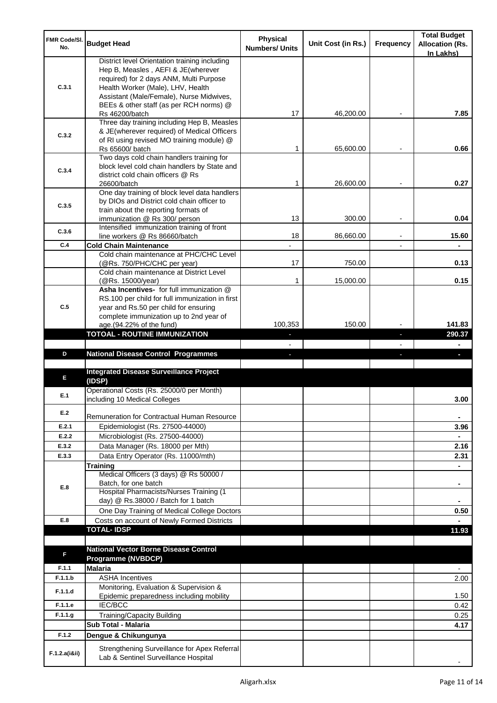| FMR Code/SI.<br>No. | <b>Budget Head</b>                                                                     | <b>Physical</b><br><b>Numbers/ Units</b> | Unit Cost (in Rs.) | Frequency | <b>Total Budget</b><br><b>Allocation (Rs.</b><br>In Lakhs) |
|---------------------|----------------------------------------------------------------------------------------|------------------------------------------|--------------------|-----------|------------------------------------------------------------|
|                     | District level Orientation training including                                          |                                          |                    |           |                                                            |
|                     | Hep B, Measles, AEFI & JE(wherever                                                     |                                          |                    |           |                                                            |
| C.3.1               | required) for 2 days ANM, Multi Purpose                                                |                                          |                    |           |                                                            |
|                     | Health Worker (Male), LHV, Health<br>Assistant (Male/Female), Nurse Midwives,          |                                          |                    |           |                                                            |
|                     | BEEs & other staff (as per RCH norms) @                                                |                                          |                    |           |                                                            |
|                     | <b>Rs 46200/batch</b>                                                                  | 17                                       | 46,200.00          |           | 7.85                                                       |
|                     | Three day training including Hep B, Measles                                            |                                          |                    |           |                                                            |
| C.3.2               | & JE(wherever required) of Medical Officers                                            |                                          |                    |           |                                                            |
|                     | of RI using revised MO training module) @                                              | 1                                        | 65,600.00          |           | 0.66                                                       |
|                     | Rs 65600/ batch<br>Two days cold chain handlers training for                           |                                          |                    |           |                                                            |
|                     | block level cold chain handlers by State and                                           |                                          |                    |           |                                                            |
| C.3.4               | district cold chain officers @ Rs                                                      |                                          |                    |           |                                                            |
|                     | 26600/batch                                                                            | 1                                        | 26,600.00          |           | 0.27                                                       |
|                     | One day training of block level data handlers                                          |                                          |                    |           |                                                            |
| C.3.5               | by DIOs and District cold chain officer to<br>train about the reporting formats of     |                                          |                    |           |                                                            |
|                     | immunization @ Rs 300/ person                                                          | 13                                       | 300.00             |           | 0.04                                                       |
|                     | Intensified immunization training of front                                             |                                          |                    |           |                                                            |
| C.3.6               | line workers @ Rs 86660/batch                                                          | 18                                       | 86,660.00          |           | 15.60                                                      |
| C.4                 | <b>Cold Chain Maintenance</b>                                                          |                                          |                    |           |                                                            |
|                     | Cold chain maintenance at PHC/CHC Level                                                |                                          |                    |           |                                                            |
|                     | (@Rs. 750/PHC/CHC per year)<br>Cold chain maintenance at District Level                | 17                                       | 750.00             |           | 0.13                                                       |
|                     | (@Rs. 15000/year)                                                                      | 1                                        | 15,000.00          |           | 0.15                                                       |
|                     | Asha Incentives- for full immunization @                                               |                                          |                    |           |                                                            |
|                     | RS.100 per child for full immunization in first                                        |                                          |                    |           |                                                            |
| C.5                 | year and Rs.50 per child for ensuring                                                  |                                          |                    |           |                                                            |
|                     | complete immunization up to 2nd year of                                                | 100,353                                  | 150.00             |           | 141.83                                                     |
|                     | age.(94.22% of the fund)<br><b>TOTOAL - ROUTINE IMMUNIZATION</b>                       |                                          |                    |           | 290.37                                                     |
|                     |                                                                                        |                                          |                    |           |                                                            |
|                     | <b>National Disease Control Programmes</b>                                             |                                          |                    |           |                                                            |
| D                   |                                                                                        |                                          |                    |           |                                                            |
|                     |                                                                                        |                                          |                    |           |                                                            |
|                     | <b>Integrated Disease Surveillance Project</b>                                         |                                          |                    |           |                                                            |
| Ε                   | (IDSP)                                                                                 |                                          |                    |           |                                                            |
| E.1                 | Operational Costs (Rs. 25000/0 per Month)                                              |                                          |                    |           |                                                            |
|                     | including 10 Medical Colleges                                                          |                                          |                    |           | 3.00                                                       |
| E.2                 | Remuneration for Contractual Human Resource                                            |                                          |                    |           | ۰                                                          |
| E.2.1               | Epidemiologist (Rs. 27500-44000)                                                       |                                          |                    |           | 3.96                                                       |
| E.2.2               | Microbiologist (Rs. 27500-44000)                                                       |                                          |                    |           |                                                            |
| E.3.2               | Data Manager (Rs. 18000 per Mth)                                                       |                                          |                    |           | 2.16                                                       |
| E.3.3               | Data Entry Operator (Rs. 11000/mth)                                                    |                                          |                    |           | 2.31                                                       |
|                     | Training                                                                               |                                          |                    |           |                                                            |
|                     | Medical Officers (3 days) @ Rs 50000 /                                                 |                                          |                    |           |                                                            |
| E.8                 | Batch, for one batch                                                                   |                                          |                    |           | ۰                                                          |
|                     | <b>Hospital Pharmacists/Nurses Training (1)</b><br>day) @ Rs.38000 / Batch for 1 batch |                                          |                    |           |                                                            |
|                     | One Day Training of Medical College Doctors                                            |                                          |                    |           | 0.50                                                       |
| E.8                 | Costs on account of Newly Formed Districts                                             |                                          |                    |           |                                                            |
|                     | <b>TOTAL-IDSP</b>                                                                      |                                          |                    |           | 11.93                                                      |
|                     |                                                                                        |                                          |                    |           |                                                            |
| F                   | <b>National Vector Borne Disease Control</b><br>Programme (NVBDCP)                     |                                          |                    |           |                                                            |
| F.1.1               | <b>Malaria</b>                                                                         |                                          |                    |           | $\blacksquare$                                             |
| F.1.1.b             | <b>ASHA Incentives</b>                                                                 |                                          |                    |           | 2.00                                                       |
|                     | Monitoring, Evaluation & Supervision &                                                 |                                          |                    |           |                                                            |
| F.1.1.d             | Epidemic preparedness including mobility                                               |                                          |                    |           | 1.50                                                       |
| F.1.1.e             | IEC/BCC                                                                                |                                          |                    |           | 0.42                                                       |
| F.1.1.g             | <b>Training/Capacity Building</b>                                                      |                                          |                    |           | 0.25                                                       |
|                     | Sub Total - Malaria                                                                    |                                          |                    |           | 4.17                                                       |
| F.1.2               | Dengue & Chikungunya<br>Strengthening Surveillance for Apex Referral                   |                                          |                    |           |                                                            |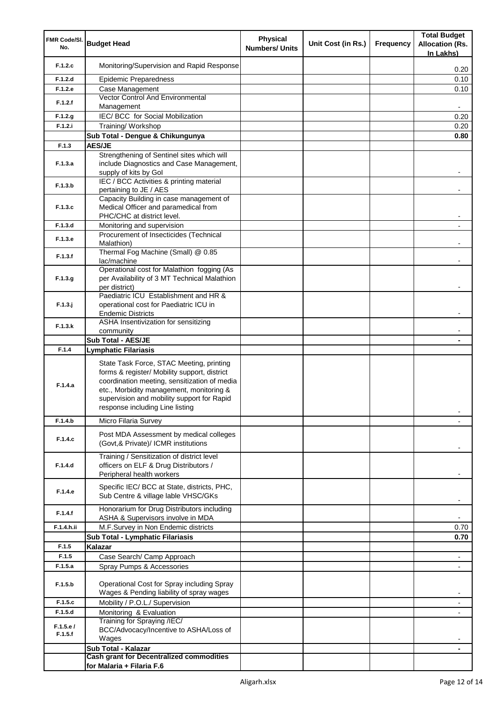| FMR Code/SI. |                                                                                            | <b>Physical</b>       |                    | <b>Total Budget</b> |                          |
|--------------|--------------------------------------------------------------------------------------------|-----------------------|--------------------|---------------------|--------------------------|
| No.          | <b>Budget Head</b>                                                                         | <b>Numbers/ Units</b> | Unit Cost (in Rs.) | <b>Frequency</b>    | <b>Allocation (Rs.</b>   |
|              |                                                                                            |                       |                    |                     | In Lakhs)                |
| F.1.2.c      | Monitoring/Supervision and Rapid Response                                                  |                       |                    |                     | 0.20                     |
| F.1.2.d      | <b>Epidemic Preparedness</b>                                                               |                       |                    |                     | 0.10                     |
| F.1.2.e      | Case Management                                                                            |                       |                    |                     | 0.10                     |
|              | Vector Control And Environmental                                                           |                       |                    |                     |                          |
| F.1.2.f      | Management                                                                                 |                       |                    |                     |                          |
| F.1.2.g      | IEC/ BCC for Social Mobilization                                                           |                       |                    |                     | 0.20                     |
| F.1.2.i      | Training/ Workshop                                                                         |                       |                    |                     | 0.20                     |
|              | Sub Total - Dengue & Chikungunya                                                           |                       |                    |                     | 0.80                     |
| F.1.3        | <b>AES/JE</b>                                                                              |                       |                    |                     |                          |
|              | Strengthening of Sentinel sites which will                                                 |                       |                    |                     |                          |
| F.1.3.a      | include Diagnostics and Case Management,                                                   |                       |                    |                     |                          |
|              | supply of kits by Gol                                                                      |                       |                    |                     |                          |
| F.1.3.b      | IEC / BCC Activities & printing material                                                   |                       |                    |                     |                          |
|              | pertaining to JE / AES<br>Capacity Building in case management of                          |                       |                    |                     |                          |
| F.1.3.c      | Medical Officer and paramedical from                                                       |                       |                    |                     |                          |
|              | PHC/CHC at district level.                                                                 |                       |                    |                     |                          |
| F.1.3.d      | Monitoring and supervision                                                                 |                       |                    |                     |                          |
| F.1.3.e      | Procurement of Insecticides (Technical                                                     |                       |                    |                     |                          |
|              | Malathion)                                                                                 |                       |                    |                     |                          |
| F.1.3.f      | Thermal Fog Machine (Small) @ 0.85                                                         |                       |                    |                     |                          |
|              | lac/machine                                                                                |                       |                    |                     |                          |
| F.1.3.g      | Operational cost for Malathion fogging (As<br>per Availability of 3 MT Technical Malathion |                       |                    |                     |                          |
|              | per district)                                                                              |                       |                    |                     |                          |
|              | Paediatric ICU Establishment and HR &                                                      |                       |                    |                     |                          |
| $F.1.3.$ j   | operational cost for Paediatric ICU in                                                     |                       |                    |                     |                          |
|              | <b>Endemic Districts</b>                                                                   |                       |                    |                     |                          |
| F.1.3.k      | ASHA Insentivization for sensitizing                                                       |                       |                    |                     |                          |
|              | community                                                                                  |                       |                    |                     |                          |
| F.1.4        | <b>Sub Total - AES/JE</b>                                                                  |                       |                    |                     |                          |
|              | <b>Lymphatic Filariasis</b>                                                                |                       |                    |                     |                          |
|              | State Task Force, STAC Meeting, printing                                                   |                       |                    |                     |                          |
|              | forms & register/ Mobility support, district                                               |                       |                    |                     |                          |
| F.1.4.a      | coordination meeting, sensitization of media<br>etc., Morbidity management, monitoring &   |                       |                    |                     |                          |
|              | supervision and mobility support for Rapid                                                 |                       |                    |                     |                          |
|              | response including Line listing                                                            |                       |                    |                     |                          |
|              |                                                                                            |                       |                    |                     |                          |
| F.1.4.b      | Micro Filaria Survey                                                                       |                       |                    |                     |                          |
| F.1.4.c      | Post MDA Assessment by medical colleges                                                    |                       |                    |                     |                          |
|              | (Govt, & Private)/ ICMR institutions                                                       |                       |                    |                     |                          |
|              | Training / Sensitization of district level                                                 |                       |                    |                     |                          |
| F.1.4.d      | officers on ELF & Drug Distributors /                                                      |                       |                    |                     |                          |
|              | Peripheral health workers                                                                  |                       |                    |                     |                          |
|              | Specific IEC/ BCC at State, districts, PHC,                                                |                       |                    |                     |                          |
| F.1.4.e      | Sub Centre & village lable VHSC/GKs                                                        |                       |                    |                     |                          |
|              | Honorarium for Drug Distributors including                                                 |                       |                    |                     |                          |
| F.1.4.f      | ASHA & Supervisors involve in MDA                                                          |                       |                    |                     | $\blacksquare$           |
| F.1.4.h.ii   | M.F.Survey in Non Endemic districts                                                        |                       |                    |                     | 0.70                     |
|              | Sub Total - Lymphatic Filariasis                                                           |                       |                    |                     | 0.70                     |
| F.1.5        | Kalazar                                                                                    |                       |                    |                     |                          |
| F.1.5        | Case Search/ Camp Approach                                                                 |                       |                    |                     | $\overline{\phantom{a}}$ |
| F.1.5.a      | Spray Pumps & Accessories                                                                  |                       |                    |                     |                          |
|              |                                                                                            |                       |                    |                     |                          |
| F.1.5.b      | Operational Cost for Spray including Spray                                                 |                       |                    |                     |                          |
|              | Wages & Pending liability of spray wages                                                   |                       |                    |                     | $\blacksquare$           |
| F.1.5.c      | Mobility / P.O.L./ Supervision                                                             |                       |                    |                     | $\overline{\phantom{a}}$ |
| F.1.5.d      | Monitoring & Evaluation<br>Training for Spraying /IEC/                                     |                       |                    |                     |                          |
| F.1.5.e/     | BCC/Advocacy/Incentive to ASHA/Loss of                                                     |                       |                    |                     |                          |
| F.1.5.f      | Wages                                                                                      |                       |                    |                     |                          |
|              | Sub Total - Kalazar                                                                        |                       |                    |                     |                          |
|              | <b>Cash grant for Decentralized commodities</b>                                            |                       |                    |                     |                          |
|              | for Malaria + Filaria F.6                                                                  |                       |                    |                     |                          |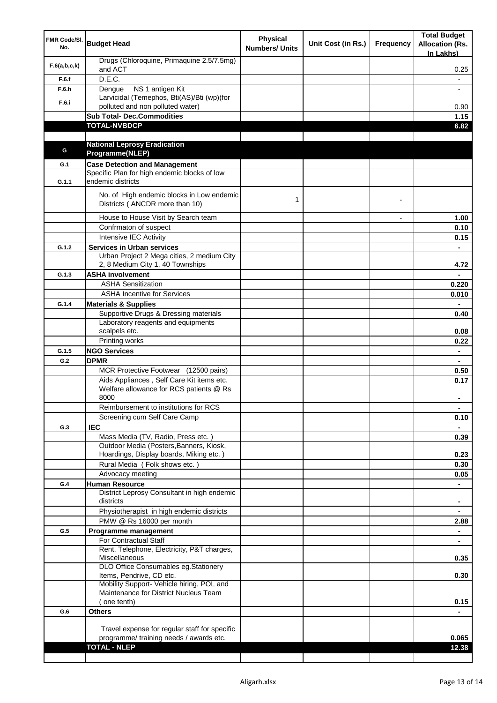| FMR Code/SI.<br>No. | <b>Budget Head</b>                                                             | <b>Physical</b><br><b>Numbers/ Units</b> | Unit Cost (in Rs.) | <b>Frequency</b> | <b>Total Budget</b><br><b>Allocation (Rs.</b><br>In Lakhs) |
|---------------------|--------------------------------------------------------------------------------|------------------------------------------|--------------------|------------------|------------------------------------------------------------|
| F.6(a,b,c,k)        | Drugs (Chloroquine, Primaquine 2.5/7.5mg)<br>and ACT                           |                                          |                    |                  | 0.25                                                       |
| F.6.f               | D.E.C.                                                                         |                                          |                    |                  |                                                            |
| F.6.h               | NS 1 antigen Kit<br>Dengue                                                     |                                          |                    |                  |                                                            |
| F.6.i               | Larvicidal (Temephos, Bti(AS)/Bti (wp)(for<br>polluted and non polluted water) |                                          |                    |                  | 0.90                                                       |
|                     | <b>Sub Total- Dec.Commodities</b>                                              |                                          |                    |                  | 1.15                                                       |
|                     | <b>TOTAL-NVBDCP</b>                                                            |                                          |                    |                  | 6.82                                                       |
|                     |                                                                                |                                          |                    |                  |                                                            |
| G                   | <b>National Leprosy Eradication</b>                                            |                                          |                    |                  |                                                            |
|                     | Programme(NLEP)                                                                |                                          |                    |                  |                                                            |
| G.1                 | <b>Case Detection and Management</b>                                           |                                          |                    |                  |                                                            |
| G.1.1               | Specific Plan for high endemic blocks of low<br>endemic districts              |                                          |                    |                  |                                                            |
|                     | No. of High endemic blocks in Low endemic<br>Districts (ANCDR more than 10)    | 1                                        |                    |                  |                                                            |
|                     | House to House Visit by Search team                                            |                                          |                    | $\overline{a}$   | 1.00                                                       |
|                     | Confrmaton of suspect                                                          |                                          |                    |                  | 0.10                                                       |
|                     | Intensive IEC Activity                                                         |                                          |                    |                  | 0.15                                                       |
| G.1.2               | <b>Services in Urban services</b>                                              |                                          |                    |                  | ٠                                                          |
|                     | Urban Project 2 Mega cities, 2 medium City<br>2, 8 Medium City 1, 40 Townships |                                          |                    |                  | 4.72                                                       |
| G.1.3               | <b>ASHA involvement</b>                                                        |                                          |                    |                  |                                                            |
|                     | <b>ASHA Sensitization</b>                                                      |                                          |                    |                  | 0.220                                                      |
|                     | <b>ASHA Incentive for Services</b>                                             |                                          |                    |                  | 0.010                                                      |
| G.1.4               | <b>Materials &amp; Supplies</b>                                                |                                          |                    |                  |                                                            |
|                     | Supportive Drugs & Dressing materials<br>Laboratory reagents and equipments    |                                          |                    |                  | 0.40                                                       |
|                     | scalpels etc.<br>Printing works                                                |                                          |                    |                  | 0.08<br>0.22                                               |
| G.1.5               | <b>NGO Services</b>                                                            |                                          |                    |                  | ٠                                                          |
| G.2                 | <b>DPMR</b>                                                                    |                                          |                    |                  |                                                            |
|                     | MCR Protective Footwear (12500 pairs)                                          |                                          |                    |                  | 0.50                                                       |
|                     | Aids Appliances, Self Care Kit items etc.                                      |                                          |                    |                  | 0.17                                                       |
|                     | Welfare allowance for RCS patients @ Rs<br>8000                                |                                          |                    |                  | ٠                                                          |
|                     | Reimbursement to institutions for RCS                                          |                                          |                    |                  | ۰                                                          |
|                     | Screening cum Self Care Camp                                                   |                                          |                    |                  | 0.10                                                       |
| G.3                 | <b>IEC</b>                                                                     |                                          |                    |                  |                                                            |
|                     | Mass Media (TV, Radio, Press etc.)                                             |                                          |                    |                  | 0.39                                                       |
|                     | Outdoor Media (Posters, Banners, Kiosk,                                        |                                          |                    |                  |                                                            |
|                     | Hoardings, Display boards, Miking etc.)                                        |                                          |                    |                  | 0.23                                                       |
|                     | Rural Media (Folk shows etc.)                                                  |                                          |                    |                  | 0.30                                                       |
|                     | Advocacy meeting                                                               |                                          |                    |                  | 0.05                                                       |
| G.4                 | <b>Human Resource</b><br>District Leprosy Consultant in high endemic           |                                          |                    |                  |                                                            |
|                     | districts                                                                      |                                          |                    |                  |                                                            |
|                     | Physiotherapist in high endemic districts                                      |                                          |                    |                  |                                                            |
|                     | PMW @ Rs 16000 per month                                                       |                                          |                    |                  | 2.88                                                       |
| G.5                 | Programme management                                                           |                                          |                    |                  |                                                            |
|                     | For Contractual Staff<br>Rent, Telephone, Electricity, P&T charges,            |                                          |                    |                  |                                                            |
|                     | Miscellaneous                                                                  |                                          |                    |                  | 0.35                                                       |
|                     | DLO Office Consumables eg.Stationery                                           |                                          |                    |                  |                                                            |
|                     | Items, Pendrive, CD etc.<br>Mobility Support- Vehicle hiring, POL and          |                                          |                    |                  | 0.30                                                       |
|                     | Maintenance for District Nucleus Team                                          |                                          |                    |                  |                                                            |
|                     | ( one tenth)                                                                   |                                          |                    |                  | 0.15                                                       |
| G.6                 | <b>Others</b>                                                                  |                                          |                    |                  |                                                            |
|                     |                                                                                |                                          |                    |                  |                                                            |
|                     | Travel expense for regular staff for specific                                  |                                          |                    |                  |                                                            |
|                     | programme/ training needs / awards etc.                                        |                                          |                    |                  | 0.065                                                      |
|                     | <b>TOTAL - NLEP</b>                                                            |                                          |                    |                  | 12.38                                                      |
|                     |                                                                                |                                          |                    |                  |                                                            |